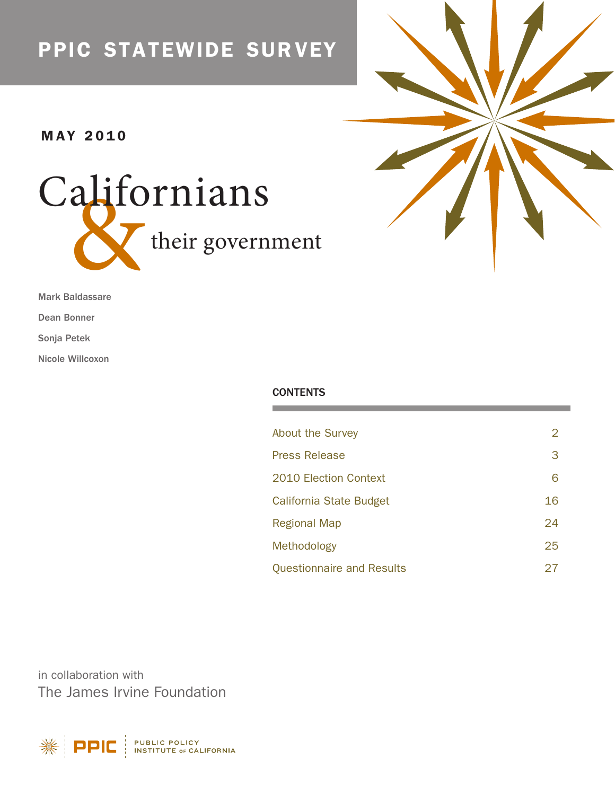# ppic statewide sur vey

# **MAY 2010**





Mark Baldassare

Dean Bonner

Sonja Petek

Nicole Willcoxon

# **CONTENTS**

| <b>About the Survey</b>          | 2  |
|----------------------------------|----|
| <b>Press Release</b>             | 3  |
| <b>2010 Election Context</b>     | 6  |
| California State Budget          | 16 |
| <b>Regional Map</b>              | 24 |
| Methodology                      | 25 |
| <b>Questionnaire and Results</b> | 27 |

in collaboration with The James Irvine Foundation

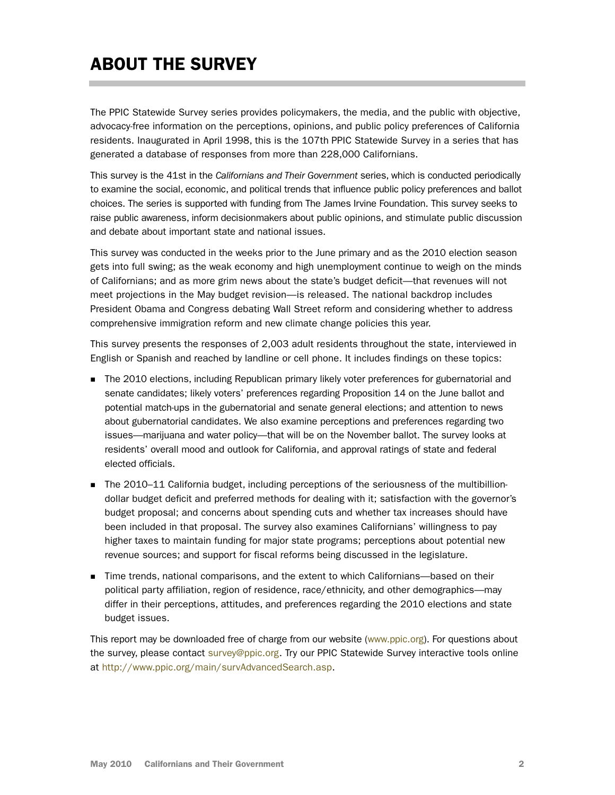# <span id="page-1-0"></span>ABOUT THE SURVEY

The PPIC Statewide Survey series provides policymakers, the media, and the public with objective, advocacy-free information on the perceptions, opinions, and public policy preferences of California residents. Inaugurated in April 1998, this is the 107th PPIC Statewide Survey in a series that has generated a database of responses from more than 228,000 Californians.

This survey is the 41st in the *Californians and Their Government* series, which is conducted periodically to examine the social, economic, and political trends that influence public policy preferences and ballot choices. The series is supported with funding from The James Irvine Foundation. This survey seeks to raise public awareness, inform decisionmakers about public opinions, and stimulate public discussion and debate about important state and national issues.

This survey was conducted in the weeks prior to the June primary and as the 2010 election season gets into full swing; as the weak economy and high unemployment continue to weigh on the minds of Californians; and as more grim news about the state's budget deficit—that revenues will not meet projections in the May budget revision—is released. The national backdrop includes President Obama and Congress debating Wall Street reform and considering whether to address comprehensive immigration reform and new climate change policies this year.

This survey presents the responses of 2,003 adult residents throughout the state, interviewed in English or Spanish and reached by landline or cell phone. It includes findings on these topics:

- **The 2010 elections, including Republican primary likely voter preferences for gubernatorial and** senate candidates; likely voters' preferences regarding Proposition 14 on the June ballot and potential match-ups in the gubernatorial and senate general elections; and attention to news about gubernatorial candidates. We also examine perceptions and preferences regarding two issues—marijuana and water policy—that will be on the November ballot. The survey looks at residents' overall mood and outlook for California, and approval ratings of state and federal elected officials.
- The 2010–11 California budget, including perceptions of the seriousness of the multibilliondollar budget deficit and preferred methods for dealing with it; satisfaction with the governor's budget proposal; and concerns about spending cuts and whether tax increases should have been included in that proposal. The survey also examines Californians' willingness to pay higher taxes to maintain funding for major state programs; perceptions about potential new revenue sources; and support for fiscal reforms being discussed in the legislature.
- Time trends, national comparisons, and the extent to which Californians—based on their political party affiliation, region of residence, race/ethnicity, and other demographics—may differ in their perceptions, attitudes, and preferences regarding the 2010 elections and state budget issues.

This report may be downloaded free of charge from our website [\(www.ppic.org\)](http://www.ppic.org/). For questions about the survey, please contact [survey@ppic.org.](mailto:survey@ppic.org) Try our PPIC Statewide Survey interactive tools online at [http://www.ppic.org/main/survAdvancedSearch.asp.](http://www.ppic.org/main/survAdvancedSearch.asp)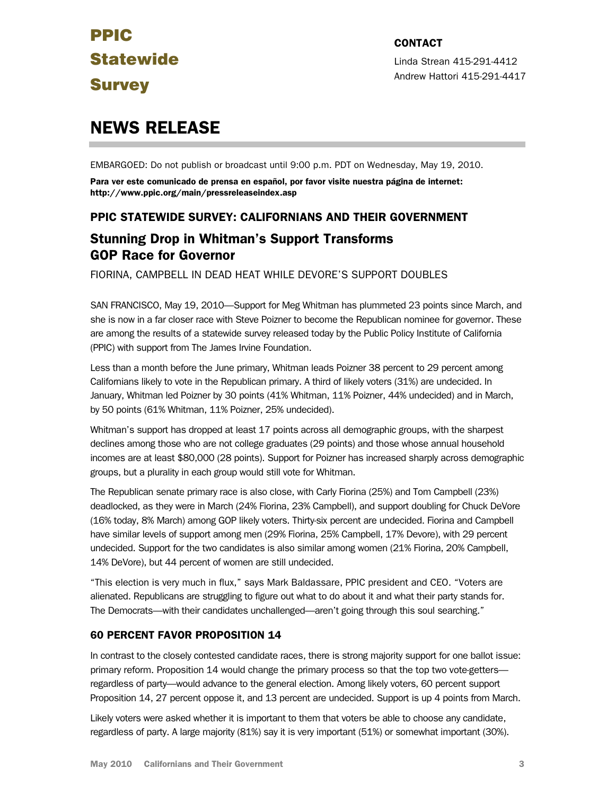Linda Strean 415-291-4412 Andrew Hattori 415-291-4417

# <span id="page-2-0"></span>NEWS RELEASE

EMBARGOED: Do not publish or broadcast until 9:00 p.m. PDT on Wednesday, May 19, 2010.

Para ver este comunicado de prensa en español, por favor visite nuestra página de internet: http://www.ppic.org/main/pressreleaseindex.asp

# PPIC STATEWIDE SURVEY: CALIFORNIANS AND THEIR GOVERNMENT

# Stunning Drop in Whitman's Support Transforms GOP Race for Governor

FIORINA, CAMPBELL IN DEAD HEAT WHILE DEVORE'S SUPPORT DOUBLES

SAN FRANCISCO, May 19, 2010—Support for Meg Whitman has plummeted 23 points since March, and she is now in a far closer race with Steve Poizner to become the Republican nominee for governor. These are among the results of a statewide survey released today by the Public Policy Institute of California (PPIC) with support from The James Irvine Foundation.

Less than a month before the June primary, Whitman leads Poizner 38 percent to 29 percent among Californians likely to vote in the Republican primary. A third of likely voters (31%) are undecided. In January, Whitman led Poizner by 30 points (41% Whitman, 11% Poizner, 44% undecided) and in March, by 50 points (61% Whitman, 11% Poizner, 25% undecided).

Whitman's support has dropped at least 17 points across all demographic groups, with the sharpest declines among those who are not college graduates (29 points) and those whose annual household incomes are at least \$80,000 (28 points). Support for Poizner has increased sharply across demographic groups, but a plurality in each group would still vote for Whitman.

The Republican senate primary race is also close, with Carly Fiorina (25%) and Tom Campbell (23%) deadlocked, as they were in March (24% Fiorina, 23% Campbell), and support doubling for Chuck DeVore (16% today, 8% March) among GOP likely voters. Thirty-six percent are undecided. Fiorina and Campbell have similar levels of support among men (29% Fiorina, 25% Campbell, 17% Devore), with 29 percent undecided. Support for the two candidates is also similar among women (21% Fiorina, 20% Campbell, 14% DeVore), but 44 percent of women are still undecided.

"This election is very much in flux," says Mark Baldassare, PPIC president and CEO. "Voters are alienated. Republicans are struggling to figure out what to do about it and what their party stands for. The Democrats—with their candidates unchallenged—aren't going through this soul searching."

# 60 PERCENT FAVOR PROPOSITION 14

In contrast to the closely contested candidate races, there is strong majority support for one ballot issue: primary reform. Proposition 14 would change the primary process so that the top two vote-getters regardless of party—would advance to the general election. Among likely voters, 60 percent support Proposition 14, 27 percent oppose it, and 13 percent are undecided. Support is up 4 points from March.

Likely voters were asked whether it is important to them that voters be able to choose any candidate, regardless of party. A large majority (81%) say it is very important (51%) or somewhat important (30%).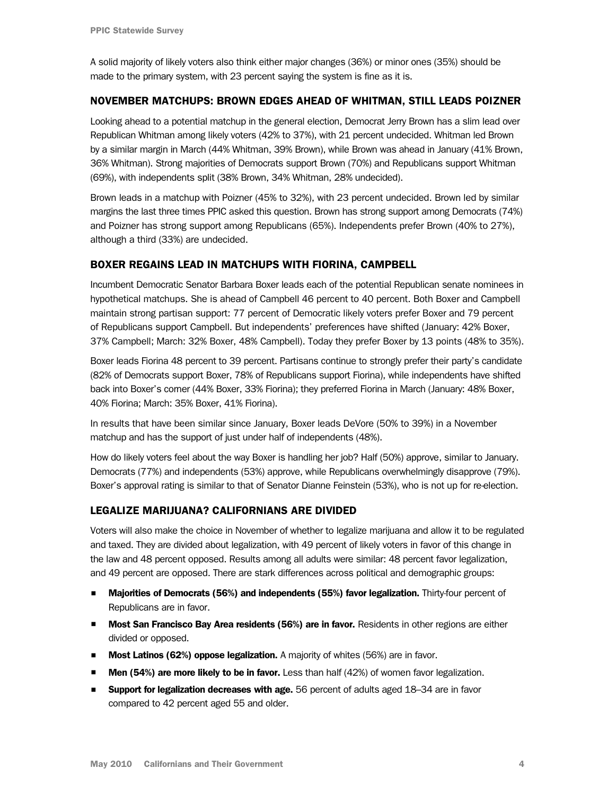A solid majority of likely voters also think either major changes (36%) or minor ones (35%) should be made to the primary system, with 23 percent saying the system is fine as it is.

#### NOVEMBER MATCHUPS: BROWN EDGES AHEAD OF WHITMAN, STILL LEADS POIZNER

Looking ahead to a potential matchup in the general election, Democrat Jerry Brown has a slim lead over Republican Whitman among likely voters (42% to 37%), with 21 percent undecided. Whitman led Brown by a similar margin in March (44% Whitman, 39% Brown), while Brown was ahead in January (41% Brown, 36% Whitman). Strong majorities of Democrats support Brown (70%) and Republicans support Whitman (69%), with independents split (38% Brown, 34% Whitman, 28% undecided).

Brown leads in a matchup with Poizner (45% to 32%), with 23 percent undecided. Brown led by similar margins the last three times PPIC asked this question. Brown has strong support among Democrats (74%) and Poizner has strong support among Republicans (65%). Independents prefer Brown (40% to 27%), although a third (33%) are undecided.

#### BOXER REGAINS LEAD IN MATCHUPS WITH FIORINA, CAMPBELL

Incumbent Democratic Senator Barbara Boxer leads each of the potential Republican senate nominees in hypothetical matchups. She is ahead of Campbell 46 percent to 40 percent. Both Boxer and Campbell maintain strong partisan support: 77 percent of Democratic likely voters prefer Boxer and 79 percent of Republicans support Campbell. But independents' preferences have shifted (January: 42% Boxer, 37% Campbell; March: 32% Boxer, 48% Campbell). Today they prefer Boxer by 13 points (48% to 35%).

Boxer leads Fiorina 48 percent to 39 percent. Partisans continue to strongly prefer their party's candidate (82% of Democrats support Boxer, 78% of Republicans support Fiorina), while independents have shifted back into Boxer's corner (44% Boxer, 33% Fiorina); they preferred Fiorina in March (January: 48% Boxer, 40% Fiorina; March: 35% Boxer, 41% Fiorina).

In results that have been similar since January, Boxer leads DeVore (50% to 39%) in a November matchup and has the support of just under half of independents (48%).

How do likely voters feel about the way Boxer is handling her job? Half (50%) approve, similar to January. Democrats (77%) and independents (53%) approve, while Republicans overwhelmingly disapprove (79%). Boxer's approval rating is similar to that of Senator Dianne Feinstein (53%), who is not up for re-election.

#### LEGALIZE MARIJUANA? CALIFORNIANS ARE DIVIDED

Voters will also make the choice in November of whether to legalize marijuana and allow it to be regulated and taxed. They are divided about legalization, with 49 percent of likely voters in favor of this change in the law and 48 percent opposed. Results among all adults were similar: 48 percent favor legalization, and 49 percent are opposed. There are stark differences across political and demographic groups:

- **Majorities of Democrats (56%) and independents (55%) favor legalization.** Thirty-four percent of Republicans are in favor.
- **Most San Francisco Bay Area residents (56%) are in favor.** Residents in other regions are either divided or opposed.
- **Most Latinos (62%) oppose legalization.** A majority of whites (56%) are in favor.
- **Men (54%) are more likely to be in favor.** Less than half  $(42%)$  of women favor legalization.
- **Support for legalization decreases with age.** 56 percent of adults aged 18–34 are in favor compared to 42 percent aged 55 and older.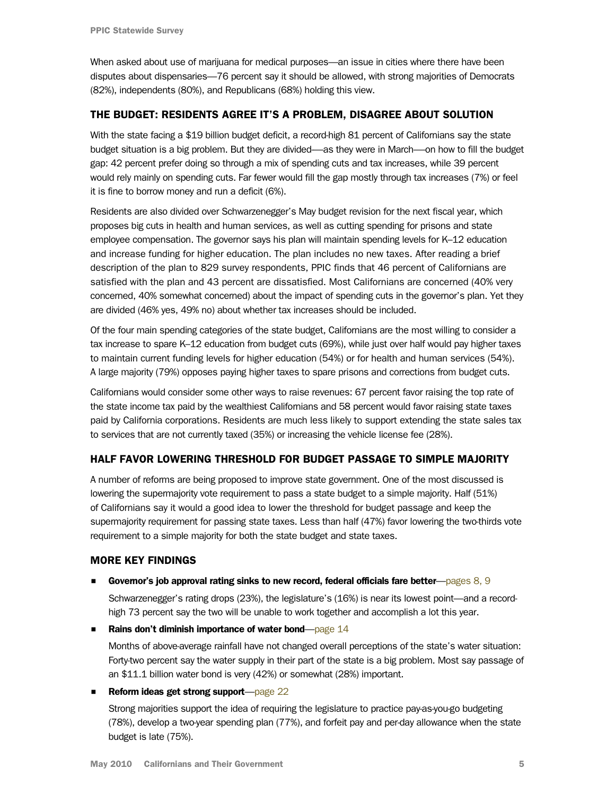When asked about use of marijuana for medical purposes—an issue in cities where there have been disputes about dispensaries—76 percent say it should be allowed, with strong majorities of Democrats (82%), independents (80%), and Republicans (68%) holding this view.

# THE BUDGET: RESIDENTS AGREE IT'S A PROBLEM, DISAGREE ABOUT SOLUTION

With the state facing a \$19 billion budget deficit, a record-high 81 percent of Californians say the state budget situation is a big problem. But they are divided-as they were in March---on how to fill the budget gap: 42 percent prefer doing so through a mix of spending cuts and tax increases, while 39 percent would rely mainly on spending cuts. Far fewer would fill the gap mostly through tax increases (7%) or feel it is fine to borrow money and run a deficit (6%).

Residents are also divided over Schwarzenegger's May budget revision for the next fiscal year, which proposes big cuts in health and human services, as well as cutting spending for prisons and state employee compensation. The governor says his plan will maintain spending levels for K–12 education and increase funding for higher education. The plan includes no new taxes. After reading a brief description of the plan to 829 survey respondents, PPIC finds that 46 percent of Californians are satisfied with the plan and 43 percent are dissatisfied. Most Californians are concerned (40% very concerned, 40% somewhat concerned) about the impact of spending cuts in the governor's plan. Yet they are divided (46% yes, 49% no) about whether tax increases should be included.

Of the four main spending categories of the state budget, Californians are the most willing to consider a tax increase to spare K–12 education from budget cuts (69%), while just over half would pay higher taxes to maintain current funding levels for higher education (54%) or for health and human services (54%). A large majority (79%) opposes paying higher taxes to spare prisons and corrections from budget cuts.

Californians would consider some other ways to raise revenues: 67 percent favor raising the top rate of the state income tax paid by the wealthiest Californians and 58 percent would favor raising state taxes paid by California corporations. Residents are much less likely to support extending the state sales tax to services that are not currently taxed (35%) or increasing the vehicle license fee (28%).

# HALF FAVOR LOWERING THRESHOLD FOR BUDGET PASSAGE TO SIMPLE MAJORITY

A number of reforms are being proposed to improve state government. One of the most discussed is lowering the supermajority vote requirement to pass a state budget to a simple majority. Half (51%) of Californians say it would a good idea to lower the threshold for budget passage and keep the supermajority requirement for passing state taxes. Less than half (47%) favor lowering the two-thirds vote requirement to a simple majority for both the state budget and state taxes.

# MORE KEY FINDINGS

■ Governor's job approval rating sinks to new record, federal officials fare better[—pages 8, 9](#page-7-0)

Schwarzenegger's rating drops (23%), the legislature's (16%) is near its lowest point—and a recordhigh 73 percent say the two will be unable to work together and accomplish a lot this year.

**Rains don't diminish importance of water bond**—page  $14$ 

Months of above-average rainfall have not changed overall perceptions of the state's water situation: Forty-two percent say the water supply in their part of the state is a big problem. Most say passage of an \$11.1 billion water bond is very (42%) or somewhat (28%) important.

# ■ Reform ideas get strong support[—page 22](#page-21-0)

Strong majorities support the idea of requiring the legislature to practice pay-as-you-go budgeting (78%), develop a two-year spending plan (77%), and forfeit pay and per-day allowance when the state budget is late (75%).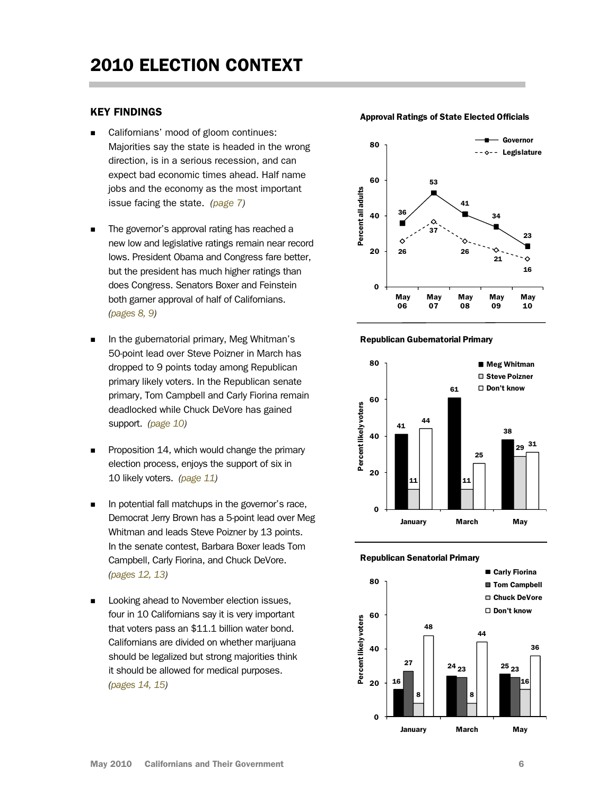### <span id="page-5-0"></span>KEY FINDINGS

- Californians' mood of gloom continues: Majorities say the state is headed in the wrong direction, is in a serious recession, and can expect bad economic times ahead. Half name jobs and the economy as the most important issue facing the state. [\(page 7\)](#page-6-0)
- The governor's approval rating has reached a new low and legislative ratings remain near record lows. President Obama and Congress fare better, but the president has much higher ratings than does Congress. Senators Boxer and Feinstein both garner approval of half of Californians. [\(pages 8, 9\)](#page-7-0)
- In the gubernatorial primary, Meg Whitman's 50-point lead over Steve Poizner in March has dropped to 9 points today among Republican primary likely voters. In the Republican senate primary, Tom Campbell and Carly Fiorina remain deadlocked while Chuck DeVore has gained support. [\(page 10\)](#page-9-0)
- Proposition 14, which would change the primary election process, enjoys the support of six in 10 likely voters. [\(page 11\)](#page-10-0)
- In potential fall matchups in the governor's race, Democrat Jerry Brown has a 5-point lead over Meg Whitman and leads Steve Poizner by 13 points. In the senate contest, Barbara Boxer leads Tom Campbell, Carly Fiorina, and Chuck DeVore. [\(pages 12, 13\)](#page-11-0)
- **Looking ahead to November election issues,** four in 10 Californians say it is very important that voters pass an \$11.1 billion water bond. Californians are divided on whether marijuana should be legalized but strong majorities think it should be allowed for medical purposes. [\(pages 14, 15\)](#page-13-0)



#### Republican Gubernatorial Primary





#### Approval Ratings of State Elected Officials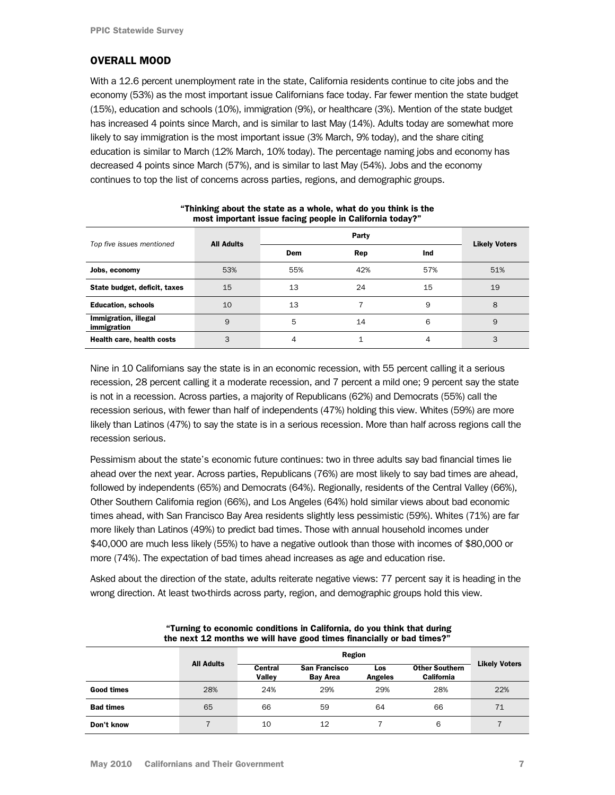### <span id="page-6-0"></span>OVERALL MOOD

With a 12.6 percent unemployment rate in the state, California residents continue to cite jobs and the economy (53%) as the most important issue Californians face today. Far fewer mention the state budget (15%), education and schools (10%), immigration (9%), or healthcare (3%). Mention of the state budget has increased 4 points since March, and is similar to last May (14%). Adults today are somewhat more likely to say immigration is the most important issue (3% March, 9% today), and the share citing education is similar to March (12% March, 10% today). The percentage naming jobs and economy has decreased 4 points since March (57%), and is similar to last May (54%). Jobs and the economy continues to top the list of concerns across parties, regions, and demographic groups.

| Top five issues mentioned           | <b>All Adults</b> |     |     |     |                      |
|-------------------------------------|-------------------|-----|-----|-----|----------------------|
|                                     |                   | Dem | Rep | Ind | <b>Likely Voters</b> |
| Jobs, economy                       | 53%               | 55% | 42% | 57% | 51%                  |
| State budget, deficit, taxes        | 15                | 13  | 24  | 15  | 19                   |
| <b>Education, schools</b>           | 10                | 13  |     | 9   | 8                    |
| Immigration, illegal<br>immigration | 9                 | 5   | 14  | 6   | 9                    |
| Health care, health costs           | 3                 | 4   | 1   | 4   | 3                    |

#### "Thinking about the state as a whole, what do you think is the most important issue facing people in California today?"

Nine in 10 Californians say the state is in an economic recession, with 55 percent calling it a serious recession, 28 percent calling it a moderate recession, and 7 percent a mild one; 9 percent say the state is not in a recession. Across parties, a majority of Republicans (62%) and Democrats (55%) call the recession serious, with fewer than half of independents (47%) holding this view. Whites (59%) are more likely than Latinos (47%) to say the state is in a serious recession. More than half across regions call the recession serious.

Pessimism about the state's economic future continues: two in three adults say bad financial times lie ahead over the next year. Across parties, Republicans (76%) are most likely to say bad times are ahead, followed by independents (65%) and Democrats (64%). Regionally, residents of the Central Valley (66%), Other Southern California region (66%), and Los Angeles (64%) hold similar views about bad economic times ahead, with San Francisco Bay Area residents slightly less pessimistic (59%). Whites (71%) are far more likely than Latinos (49%) to predict bad times. Those with annual household incomes under \$40,000 are much less likely (55%) to have a negative outlook than those with incomes of \$80,000 or more (74%). The expectation of bad times ahead increases as age and education rise.

Asked about the direction of the state, adults reiterate negative views: 77 percent say it is heading in the wrong direction. At least two-thirds across party, region, and demographic groups hold this view.

| the next 12 months we will have good times financially or bad times?" |                   |                   |                                         |                       |                                            |                      |  |
|-----------------------------------------------------------------------|-------------------|-------------------|-----------------------------------------|-----------------------|--------------------------------------------|----------------------|--|
|                                                                       |                   |                   |                                         |                       |                                            |                      |  |
|                                                                       | <b>All Adults</b> | Central<br>Vallev | <b>San Francisco</b><br><b>Bay Area</b> | Los<br><b>Angeles</b> | <b>Other Southern</b><br><b>California</b> | <b>Likely Voters</b> |  |
| Good times                                                            | 28%               | 24%               | 29%                                     | 29%                   | 28%                                        | 22%                  |  |
| <b>Bad times</b>                                                      | 65                | 66                | 59                                      | 64                    | 66                                         | 71                   |  |
| Don't know                                                            |                   | 10                | 12                                      |                       | 6                                          |                      |  |

#### "Turning to economic conditions in California, do you think that during the next 12 months we will have good times financially or bad times?"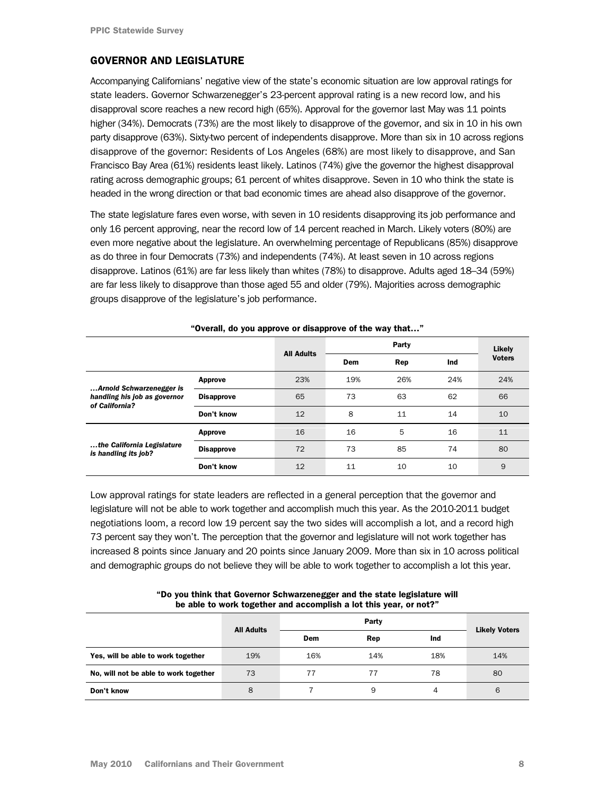# <span id="page-7-0"></span>GOVERNOR AND LEGISLATURE

Accompanying Californians' negative view of the state's economic situation are low approval ratings for state leaders. Governor Schwarzenegger's 23-percent approval rating is a new record low, and his disapproval score reaches a new record high (65%). Approval for the governor last May was 11 points higher (34%). Democrats (73%) are the most likely to disapprove of the governor, and six in 10 in his own party disapprove (63%). Sixty-two percent of independents disapprove. More than six in 10 across regions disapprove of the governor: Residents of Los Angeles (68%) are most likely to disapprove, and San Francisco Bay Area (61%) residents least likely. Latinos (74%) give the governor the highest disapproval rating across demographic groups; 61 percent of whites disapprove. Seven in 10 who think the state is headed in the wrong direction or that bad economic times are ahead also disapprove of the governor.

The state legislature fares even worse, with seven in 10 residents disapproving its job performance and only 16 percent approving, near the record low of 14 percent reached in March. Likely voters (80%) are even more negative about the legislature. An overwhelming percentage of Republicans (85%) disapprove as do three in four Democrats (73%) and independents (74%). At least seven in 10 across regions disapprove. Latinos (61%) are far less likely than whites (78%) to disapprove. Adults aged 18–34 (59%) are far less likely to disapprove than those aged 55 and older (79%). Majorities across demographic groups disapprove of the legislature's job performance.

|                                                                            |                   | <b>All Adults</b> |     | Party |     | Likely        |
|----------------------------------------------------------------------------|-------------------|-------------------|-----|-------|-----|---------------|
|                                                                            |                   |                   | Dem | Rep   | Ind | <b>Voters</b> |
| Arnold Schwarzenegger is<br>handling his job as governor<br>of California? | Approve           | 23%               | 19% | 26%   | 24% | 24%           |
|                                                                            | <b>Disapprove</b> | 65                | 73  | 63    | 62  | 66            |
|                                                                            | Don't know        | 12                | 8   | 11    | 14  | 10            |
| the California Legislature<br>is handling its job?                         | Approve           | 16                | 16  | 5     | 16  | 11            |
|                                                                            | <b>Disapprove</b> | 72                | 73  | 85    | 74  | 80            |
|                                                                            | Don't know        | 12                | 11  | 10    | 10  | 9             |

"Overall, do you approve or disapprove of the way that…"

Low approval ratings for state leaders are reflected in a general perception that the governor and legislature will not be able to work together and accomplish much this year. As the 2010-2011 budget negotiations loom, a record low 19 percent say the two sides will accomplish a lot, and a record high 73 percent say they won't. The perception that the governor and legislature will not work together has increased 8 points since January and 20 points since January 2009. More than six in 10 across political and demographic groups do not believe they will be able to work together to accomplish a lot this year.

| be able to work together and accomplish a lot this year, or not? |                   |     |       |     |                      |  |  |
|------------------------------------------------------------------|-------------------|-----|-------|-----|----------------------|--|--|
|                                                                  | <b>All Adults</b> |     | Party |     | <b>Likely Voters</b> |  |  |
|                                                                  |                   | Dem | Rep   | Ind |                      |  |  |
| Yes, will be able to work together                               | 19%               | 16% | 14%   | 18% | 14%                  |  |  |
| No, will not be able to work together                            | 73                | 77  |       | 78  | 80                   |  |  |
| Don't know                                                       | 8                 |     | 9     | 4   | 6                    |  |  |

"Do you think that Governor Schwarzenegger and the state legislature will be able to work together and accomplish a lot this year, or not?"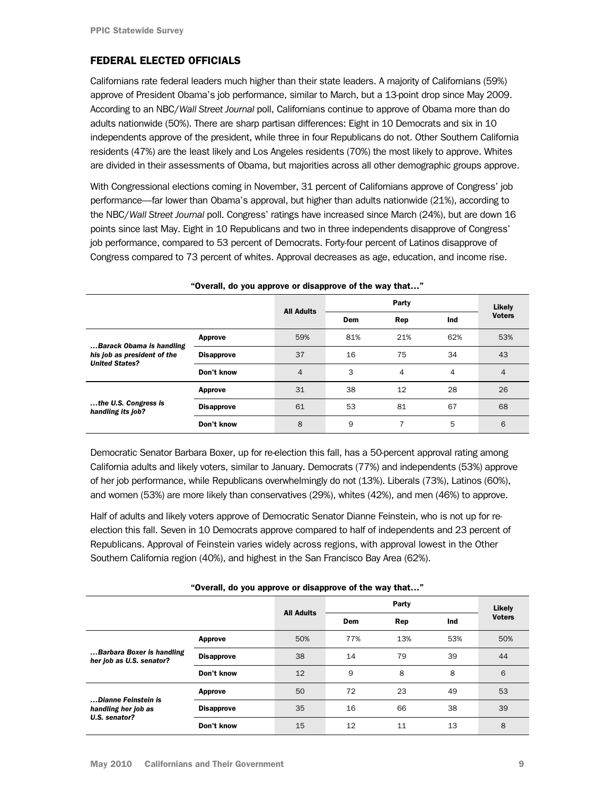# FEDERAL ELECTED OFFICIALS

Californians rate federal leaders much higher than their state leaders. A majority of Californians (59%) approve of President Obama's job performance, similar to March, but a 13-point drop since May 2009. According to an NBC/*Wall Street Journal* poll, Californians continue to approve of Obama more than do adults nationwide (50%). There are sharp partisan differences: Eight in 10 Democrats and six in 10 independents approve of the president, while three in four Republicans do not. Other Southern California residents (47%) are the least likely and Los Angeles residents (70%) the most likely to approve. Whites are divided in their assessments of Obama, but majorities across all other demographic groups approve.

With Congressional elections coming in November, 31 percent of Californians approve of Congress' job performance—far lower than Obama's approval, but higher than adults nationwide (21%), according to the NBC/*Wall Street Journal* poll. Congress' ratings have increased since March (24%), but are down 16 points since last May. Eight in 10 Republicans and two in three independents disapprove of Congress' job performance, compared to 53 percent of Democrats. Forty-four percent of Latinos disapprove of Congress compared to 73 percent of whites. Approval decreases as age, education, and income rise.

|                                                                                  |                   |                   |     |     | Likely |               |
|----------------------------------------------------------------------------------|-------------------|-------------------|-----|-----|--------|---------------|
|                                                                                  |                   | <b>All Adults</b> | Dem | Rep | Ind    | <b>Voters</b> |
| Barack Obama is handling<br>his job as president of the<br><b>United States?</b> | Approve           | 59%               | 81% | 21% | 62%    | 53%           |
|                                                                                  | <b>Disapprove</b> | 37                | 16  | 75  | 34     | 43            |
|                                                                                  | Don't know        | $\overline{4}$    | 3   | 4   | 4      | 4             |
| the U.S. Congress is<br>handling its job?                                        | Approve           | 31                | 38  | 12  | 28     | 26            |
|                                                                                  | <b>Disapprove</b> | 61                | 53  | 81  | 67     | 68            |
|                                                                                  | Don't know        | 8                 | 9   |     | 5      | 6             |

"Overall, do you approve or disapprove of the way that…"

Democratic Senator Barbara Boxer, up for re-election this fall, has a 50-percent approval rating among California adults and likely voters, similar to January. Democrats (77%) and independents (53%) approve of her job performance, while Republicans overwhelmingly do not (13%). Liberals (73%), Latinos (60%), and women (53%) are more likely than conservatives (29%), whites (42%), and men (46%) to approve.

Half of adults and likely voters approve of Democratic Senator Dianne Feinstein, who is not up for reelection this fall. Seven in 10 Democrats approve compared to half of independents and 23 percent of Republicans. Approval of Feinstein varies widely across regions, with approval lowest in the Other Southern California region (40%), and highest in the San Francisco Bay Area (62%).

|                                                             |                   | overally ab you applove of alsapplove of the way that |     |       |     |               |
|-------------------------------------------------------------|-------------------|-------------------------------------------------------|-----|-------|-----|---------------|
|                                                             |                   | <b>All Adults</b>                                     |     | Party |     | Likely        |
|                                                             |                   |                                                       | Dem | Rep   | Ind | <b>Voters</b> |
| Barbara Boxer is handling<br>her job as U.S. senator?       | Approve           | 50%                                                   | 77% | 13%   | 53% | 50%           |
|                                                             | <b>Disapprove</b> | 38                                                    | 14  | 79    | 39  | 44            |
|                                                             | Don't know        | 12                                                    | 9   | 8     | 8   | 6             |
| Dianne Feinstein is<br>handling her job as<br>U.S. senator? | Approve           | 50                                                    | 72  | 23    | 49  | 53            |
|                                                             | <b>Disapprove</b> | 35                                                    | 16  | 66    | 38  | 39            |
|                                                             | Don't know        | 15                                                    | 12  | 11    | 13  | 8             |

"Overall, do you approve or disapprove of the way that…"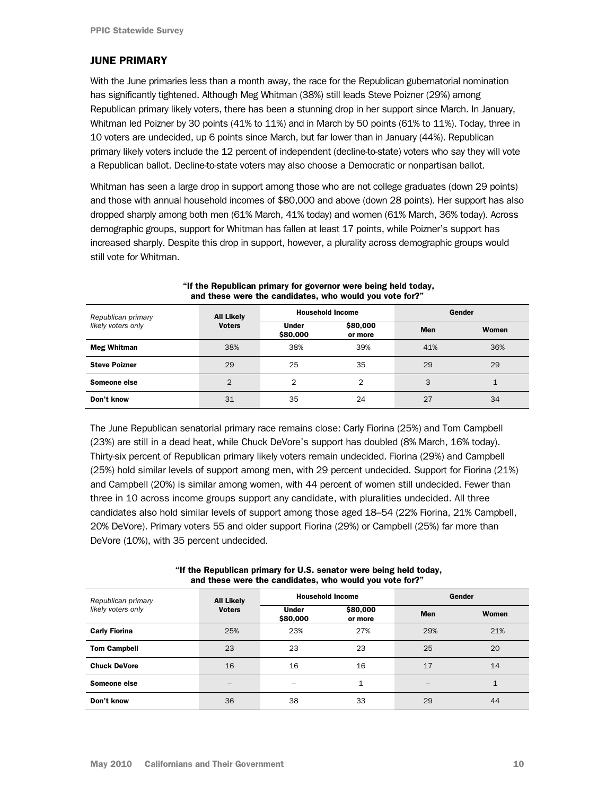#### <span id="page-9-0"></span>JUNE PRIMARY

With the June primaries less than a month away, the race for the Republican gubernatorial nomination has significantly tightened. Although Meg Whitman (38%) still leads Steve Poizner (29%) among Republican primary likely voters, there has been a stunning drop in her support since March. In January, Whitman led Poizner by 30 points (41% to 11%) and in March by 50 points (61% to 11%). Today, three in 10 voters are undecided, up 6 points since March, but far lower than in January (44%). Republican primary likely voters include the 12 percent of independent (decline-to-state) voters who say they will vote a Republican ballot. Decline-to-state voters may also choose a Democratic or nonpartisan ballot.

Whitman has seen a large drop in support among those who are not college graduates (down 29 points) and those with annual household incomes of \$80,000 and above (down 28 points). Her support has also dropped sharply among both men (61% March, 41% today) and women (61% March, 36% today). Across demographic groups, support for Whitman has fallen at least 17 points, while Poizner's support has increased sharply. Despite this drop in support, however, a plurality across demographic groups would still vote for Whitman.

| Republican primary   | <b>All Likely</b>                                                |     | <b>Household Income</b> | Gender       |     |  |
|----------------------|------------------------------------------------------------------|-----|-------------------------|--------------|-----|--|
| likely voters only   | \$80,000<br><b>Voters</b><br><b>Under</b><br>\$80,000<br>or more |     | <b>Men</b>              | <b>Women</b> |     |  |
| <b>Meg Whitman</b>   | 38%                                                              | 38% | 39%                     | 41%          | 36% |  |
| <b>Steve Poizner</b> | 29                                                               | 25  | 35                      | 29           | 29  |  |
| Someone else         | $\overline{2}$                                                   | 2   | 2                       | 3            | 1   |  |
| Don't know           | 31                                                               | 35  | 24                      | 27           | 34  |  |

#### "If the Republican primary for governor were being held today, and these were the candidates, who would you vote for?"

The June Republican senatorial primary race remains close: Carly Fiorina (25%) and Tom Campbell (23%) are still in a dead heat, while Chuck DeVore's support has doubled (8% March, 16% today). Thirty-six percent of Republican primary likely voters remain undecided. Fiorina (29%) and Campbell (25%) hold similar levels of support among men, with 29 percent undecided. Support for Fiorina (21%) and Campbell (20%) is similar among women, with 44 percent of women still undecided. Fewer than three in 10 across income groups support any candidate, with pluralities undecided. All three candidates also hold similar levels of support among those aged 18–54 (22% Fiorina, 21% Campbell, 20% DeVore). Primary voters 55 and older support Fiorina (29%) or Campbell (25%) far more than DeVore (10%), with 35 percent undecided.

| "If the Republican primary for U.S. senator were being held today, |  |  |  |  |  |  |
|--------------------------------------------------------------------|--|--|--|--|--|--|
| and these were the candidates, who would you vote for?"            |  |  |  |  |  |  |
|                                                                    |  |  |  |  |  |  |

| Republican primary   | <b>All Likely</b>        |                          | <b>Household Income</b> | Gender     |              |  |
|----------------------|--------------------------|--------------------------|-------------------------|------------|--------------|--|
| likely voters only   | <b>Voters</b>            | <b>Under</b><br>\$80,000 | \$80,000<br>or more     | <b>Men</b> | Women        |  |
| <b>Carly Fiorina</b> | 25%                      | 23%                      | 27%                     | 29%        | 21%          |  |
| <b>Tom Campbell</b>  | 23                       | 23                       | 23                      | 25         | 20           |  |
| <b>Chuck DeVore</b>  | 16                       | 16                       | 16                      | 17         | 14           |  |
| Someone else         | $\overline{\phantom{0}}$ |                          | 1                       |            | $\mathbf{1}$ |  |
| Don't know           | 36                       | 38                       | 33                      | 29         | 44           |  |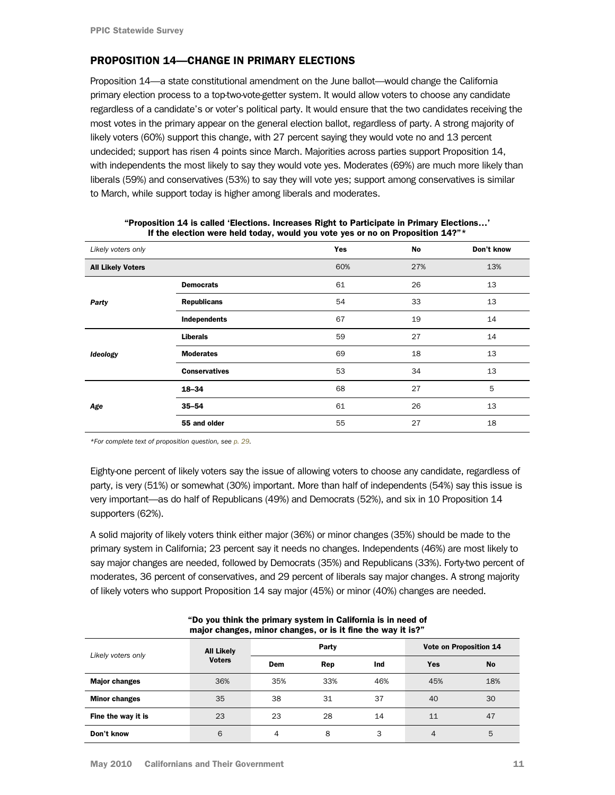### <span id="page-10-0"></span>PROPOSITION 14—CHANGE IN PRIMARY ELECTIONS

Proposition 14—a state constitutional amendment on the June ballot—would change the California primary election process to a top-two-vote-getter system. It would allow voters to choose any candidate regardless of a candidate's or voter's political party. It would ensure that the two candidates receiving the most votes in the primary appear on the general election ballot, regardless of party. A strong majority of likely voters (60%) support this change, with 27 percent saying they would vote no and 13 percent undecided; support has risen 4 points since March. Majorities across parties support Proposition 14, with independents the most likely to say they would vote yes. Moderates (69%) are much more likely than liberals (59%) and conservatives (53%) to say they will vote yes; support among conservatives is similar to March, while support today is higher among liberals and moderates.

| Likely voters only       |                      | <b>Yes</b> | No  | Don't know |
|--------------------------|----------------------|------------|-----|------------|
| <b>All Likely Voters</b> |                      | 60%        | 27% | 13%        |
|                          | <b>Democrats</b>     | 61         | 26  | 13         |
| Party                    | <b>Republicans</b>   | 54         | 33  | 13         |
|                          | Independents         | 67         | 19  | 14         |
|                          | <b>Liberals</b>      | 59         | 27  | 14         |
| Ideology                 | <b>Moderates</b>     | 69         | 18  | 13         |
|                          | <b>Conservatives</b> | 53         | 34  | 13         |
| Age                      | 18-34                | 68         | 27  | 5          |
|                          | $35 - 54$            | 61         | 26  | 13         |
|                          | 55 and older         | 55         | 27  | 18         |

"Proposition 14 is called 'Elections. Increases Right to Participate in Primary Elections…' If the election were held today, would you vote yes or no on Proposition 14?"\*

*[\\*For complete text of proposition question, see p. 29.](#page-28-0)* 

Eighty-one percent of likely voters say the issue of allowing voters to choose any candidate, regardless of party, is very (51%) or somewhat (30%) important. More than half of independents (54%) say this issue is very important—as do half of Republicans (49%) and Democrats (52%), and six in 10 Proposition 14 supporters (62%).

A solid majority of likely voters think either major (36%) or minor changes (35%) should be made to the primary system in California; 23 percent say it needs no changes. Independents (46%) are most likely to say major changes are needed, followed by Democrats (35%) and Republicans (33%). Forty-two percent of moderates, 36 percent of conservatives, and 29 percent of liberals say major changes. A strong majority of likely voters who support Proposition 14 say major (45%) or minor (40%) changes are needed.

|                      | major onangoo, minor onangoo, or io it mio tho way it ion |     |       |                        |     |           |  |  |
|----------------------|-----------------------------------------------------------|-----|-------|------------------------|-----|-----------|--|--|
| Likely voters only   | <b>All Likely</b>                                         |     | Party | Vote on Proposition 14 |     |           |  |  |
|                      | <b>Voters</b>                                             | Dem | Rep   | Ind                    | Yes | <b>No</b> |  |  |
| <b>Major changes</b> | 36%                                                       | 35% | 33%   | 46%                    | 45% | 18%       |  |  |
| <b>Minor changes</b> | 35                                                        | 38  | 31    | 37                     | 40  | 30        |  |  |
| Fine the way it is   | 23                                                        | 23  | 28    | 14                     | 11  | 47        |  |  |
| Don't know           | 6                                                         | 4   | 8     | 3                      | 4   | 5         |  |  |

| "Do you think the primary system in California is in need of |
|--------------------------------------------------------------|
| major changes, minor changes, or is it fine the way it is?"  |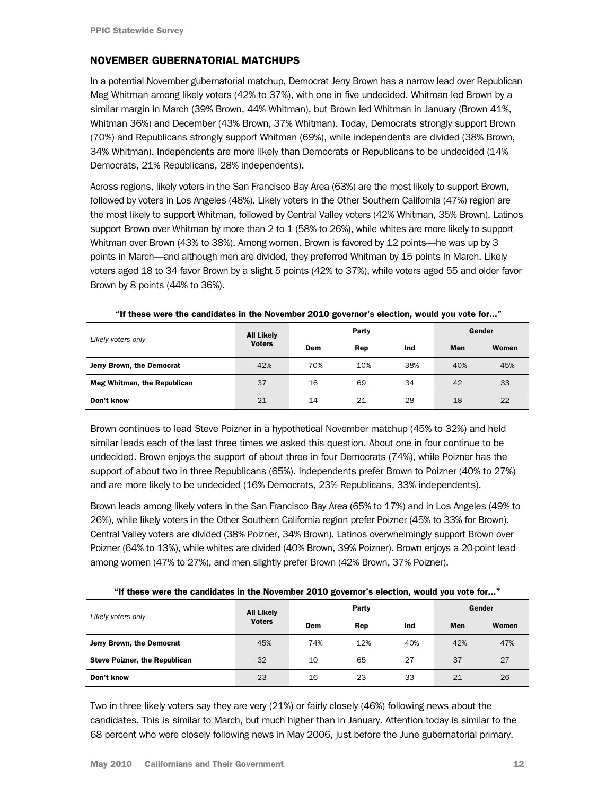#### <span id="page-11-0"></span>NOVEMBER GUBERNATORIAL MATCHUPS

In a potential November gubernatorial matchup, Democrat Jerry Brown has a narrow lead over Republican Meg Whitman among likely voters (42% to 37%), with one in five undecided. Whitman led Brown by a similar margin in March (39% Brown, 44% Whitman), but Brown led Whitman in January (Brown 41%, Whitman 36%) and December (43% Brown, 37% Whitman). Today, Democrats strongly support Brown (70%) and Republicans strongly support Whitman (69%), while independents are divided (38% Brown, 34% Whitman). Independents are more likely than Democrats or Republicans to be undecided (14% Democrats, 21% Republicans, 28% independents).

Across regions, likely voters in the San Francisco Bay Area (63%) are the most likely to support Brown, followed by voters in Los Angeles (48%). Likely voters in the Other Southern California (47%) region are the most likely to support Whitman, followed by Central Valley voters (42% Whitman, 35% Brown). Latinos support Brown over Whitman by more than 2 to 1 (58% to 26%), while whites are more likely to support Whitman over Brown (43% to 38%). Among women, Brown is favored by 12 points—he was up by 3 points in March—and although men are divided, they preferred Whitman by 15 points in March. Likely voters aged 18 to 34 favor Brown by a slight 5 points (42% to 37%), while voters aged 55 and older favor Brown by 8 points (44% to 36%).

|                             | <b>All Likely</b> | Party |     |     | Gender |       |
|-----------------------------|-------------------|-------|-----|-----|--------|-------|
| Likely voters only          | <b>Voters</b>     | Dem   | Rep | Ind | Men    | Women |
| Jerry Brown, the Democrat   | 42%               | 70%   | 10% | 38% | 40%    | 45%   |
| Meg Whitman, the Republican | 37                | 16    | 69  | 34  | 42     | 33    |
| Don't know                  | 21                | 14    | 21  | 28  | 18     | 22    |

"If these were the candidates in the November 2010 governor's election, would you vote for..."

Brown continues to lead Steve Poizner in a hypothetical November matchup (45% to 32%) and held similar leads each of the last three times we asked this question. About one in four continue to be undecided. Brown enjoys the support of about three in four Democrats (74%), while Poizner has the support of about two in three Republicans (65%). Independents prefer Brown to Poizner (40% to 27%) and are more likely to be undecided (16% Democrats, 23% Republicans, 33% independents).

Brown leads among likely voters in the San Francisco Bay Area (65% to 17%) and in Los Angeles (49% to 26%), while likely voters in the Other Southern California region prefer Poizner (45% to 33% for Brown). Central Valley voters are divided (38% Poizner, 34% Brown). Latinos overwhelmingly support Brown over Poizner (64% to 13%), while whites are divided (40% Brown, 39% Poizner). Brown enjoys a 20-point lead among women (47% to 27%), and men slightly prefer Brown (42% Brown, 37% Poizner).

|                                      | <b>All Likely</b> |     | Party | Gender |     |       |
|--------------------------------------|-------------------|-----|-------|--------|-----|-------|
| Likely voters only                   | <b>Voters</b>     | Dem | Rep   | Ind    | Men | Women |
| Jerry Brown, the Democrat            | 45%               | 74% | 12%   | 40%    | 42% | 47%   |
| <b>Steve Poizner, the Republican</b> | 32                | 10  | 65    | 27     | 37  | 27    |
| Don't know                           | 23                | 16  | 23    | 33     | 21  | 26    |

"If these were the candidates in the November 2010 governor's election, would you vote for..."

Two in three likely voters say they are very (21%) or fairly closely (46%) following news about the candidates. This is similar to March, but much higher than in January. Attention today is similar to the 68 percent who were closely following news in May 2006, just before the June gubernatorial primary.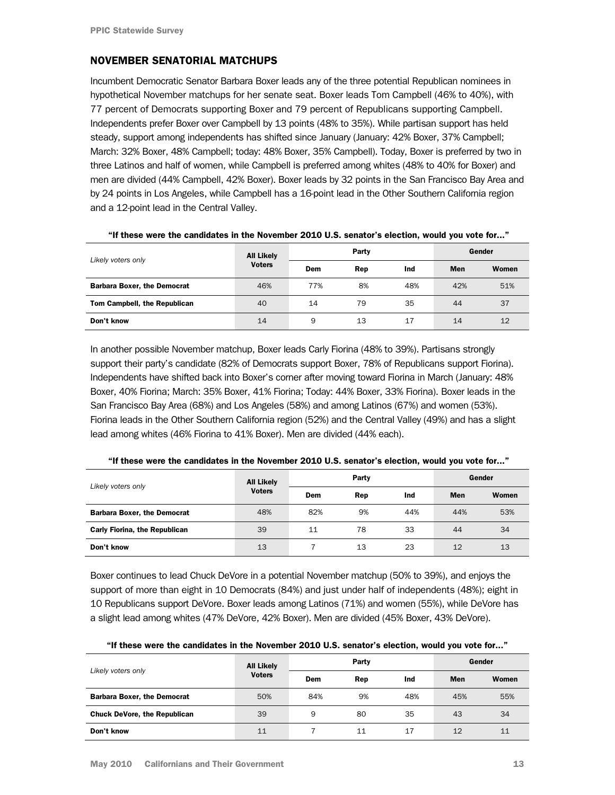# NOVEMBER SENATORIAL MATCHUPS

Incumbent Democratic Senator Barbara Boxer leads any of the three potential Republican nominees in hypothetical November matchups for her senate seat. Boxer leads Tom Campbell (46% to 40%), with 77 percent of Democrats supporting Boxer and 79 percent of Republicans supporting Campbell. Independents prefer Boxer over Campbell by 13 points (48% to 35%). While partisan support has held steady, support among independents has shifted since January (January: 42% Boxer, 37% Campbell; March: 32% Boxer, 48% Campbell; today: 48% Boxer, 35% Campbell). Today, Boxer is preferred by two in three Latinos and half of women, while Campbell is preferred among whites (48% to 40% for Boxer) and men are divided (44% Campbell, 42% Boxer). Boxer leads by 32 points in the San Francisco Bay Area and by 24 points in Los Angeles, while Campbell has a 16-point lead in the Other Southern California region and a 12-point lead in the Central Valley.

| Likely voters only                 | <b>All Likely</b> | Party |     |     | Gender     |       |  |
|------------------------------------|-------------------|-------|-----|-----|------------|-------|--|
|                                    | <b>Voters</b>     | Dem   | Rep | Ind | <b>Men</b> | Women |  |
| <b>Barbara Boxer, the Democrat</b> | 46%               | 77%   | 8%  | 48% | 42%        | 51%   |  |
| Tom Campbell, the Republican       | 40                | 14    | 79  | 35  | 44         | 37    |  |
| Don't know                         | 14                | 9     | 13  | 17  | 14         | 12    |  |

| "If these were the candidates in the November 2010 U.S. senator's election, would you vote for" |  |
|-------------------------------------------------------------------------------------------------|--|
|-------------------------------------------------------------------------------------------------|--|

In another possible November matchup, Boxer leads Carly Fiorina (48% to 39%). Partisans strongly support their party's candidate (82% of Democrats support Boxer, 78% of Republicans support Fiorina). Independents have shifted back into Boxer's corner after moving toward Fiorina in March (January: 48% Boxer, 40% Fiorina; March: 35% Boxer, 41% Fiorina; Today: 44% Boxer, 33% Fiorina). Boxer leads in the San Francisco Bay Area (68%) and Los Angeles (58%) and among Latinos (67%) and women (53%). Fiorina leads in the Other Southern California region (52%) and the Central Valley (49%) and has a slight lead among whites (46% Fiorina to 41% Boxer). Men are divided (44% each).

| Likely voters only                   | <b>All Likely</b> | Party |     |     | Gender |       |
|--------------------------------------|-------------------|-------|-----|-----|--------|-------|
|                                      | <b>Voters</b>     | Dem   | Rep | Ind | Men    | Women |
| <b>Barbara Boxer, the Democrat</b>   | 48%               | 82%   | 9%  | 44% | 44%    | 53%   |
| <b>Carly Fiorina, the Republican</b> | 39                | 11    | 78  | 33  | 44     | 34    |
| Don't know                           | 13                |       | 13  | 23  | 12     | 13    |

"If these were the candidates in the November 2010 U.S. senator's election, would you vote for..."

Boxer continues to lead Chuck DeVore in a potential November matchup (50% to 39%), and enjoys the support of more than eight in 10 Democrats (84%) and just under half of independents (48%); eight in 10 Republicans support DeVore. Boxer leads among Latinos (71%) and women (55%), while DeVore has a slight lead among whites (47% DeVore, 42% Boxer). Men are divided (45% Boxer, 43% DeVore).

| Likely voters only                  | <b>All Likely</b> |     | Party | Gender |     |       |
|-------------------------------------|-------------------|-----|-------|--------|-----|-------|
|                                     | <b>Voters</b>     | Dem | Rep   | Ind    | Men | Women |
| <b>Barbara Boxer, the Democrat</b>  | 50%               | 84% | 9%    | 48%    | 45% | 55%   |
| <b>Chuck DeVore, the Republican</b> | 39                | 9   | 80    | 35     | 43  | 34    |
| Don't know                          | 11                |     | 11    | 17     | 12  | 11    |

"If these were the candidates in the November 2010 U.S. senator's election, would you vote for..."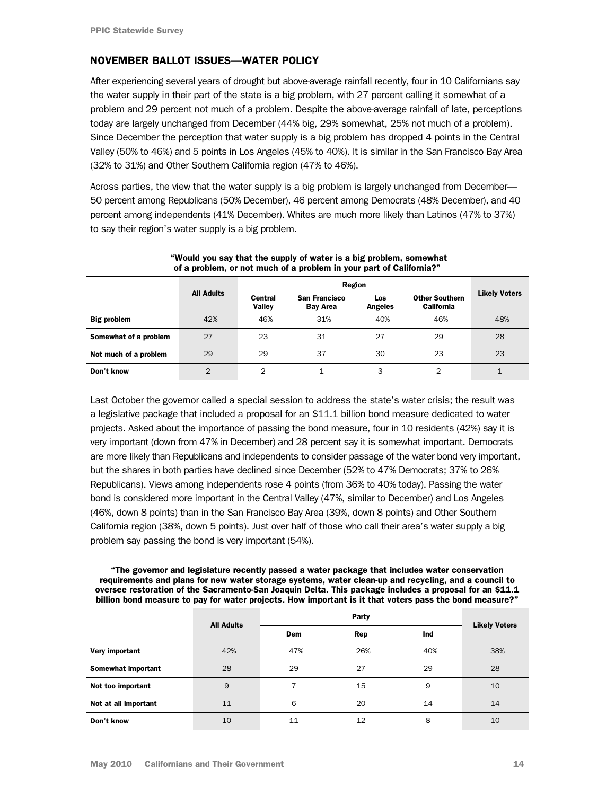### <span id="page-13-0"></span>NOVEMBER BALLOT ISSUES—WATER POLICY

After experiencing several years of drought but above-average rainfall recently, four in 10 Californians say the water supply in their part of the state is a big problem, with 27 percent calling it somewhat of a problem and 29 percent not much of a problem. Despite the above-average rainfall of late, perceptions today are largely unchanged from December (44% big, 29% somewhat, 25% not much of a problem). Since December the perception that water supply is a big problem has dropped 4 points in the Central Valley (50% to 46%) and 5 points in Los Angeles (45% to 40%). It is similar in the San Francisco Bay Area (32% to 31%) and Other Southern California region (47% to 46%).

Across parties, the view that the water supply is a big problem is largely unchanged from December— 50 percent among Republicans (50% December), 46 percent among Democrats (48% December), and 40 percent among independents (41% December). Whites are much more likely than Latinos (47% to 37%) to say their region's water supply is a big problem.

| or a propioni, or not maon or a propioni in your part or camonial. |                   |                          |                                         |                       |                                            |                      |  |  |
|--------------------------------------------------------------------|-------------------|--------------------------|-----------------------------------------|-----------------------|--------------------------------------------|----------------------|--|--|
|                                                                    |                   | Region                   |                                         |                       |                                            |                      |  |  |
|                                                                    | <b>All Adults</b> | Central<br><b>Valley</b> | <b>San Francisco</b><br><b>Bav Area</b> | Los<br><b>Angeles</b> | <b>Other Southern</b><br><b>California</b> | <b>Likely Voters</b> |  |  |
| <b>Big problem</b>                                                 | 42%               | 46%                      | 31%                                     | 40%                   | 46%                                        | 48%                  |  |  |
| Somewhat of a problem                                              | 27                | 23                       | 31                                      | 27                    | 29                                         | 28                   |  |  |
| Not much of a problem                                              | 29                | 29                       | 37                                      | 30                    | 23                                         | 23                   |  |  |
| Don't know                                                         | $\overline{2}$    | $\overline{2}$           |                                         | 3                     | $\overline{2}$                             |                      |  |  |

#### "Would you say that the supply of water is a big problem, somewhat of a problem, or not much of a problem in your part of California?"

Last October the governor called a special session to address the state's water crisis; the result was a legislative package that included a proposal for an \$11.1 billion bond measure dedicated to water projects. Asked about the importance of passing the bond measure, four in 10 residents (42%) say it is very important (down from 47% in December) and 28 percent say it is somewhat important. Democrats are more likely than Republicans and independents to consider passage of the water bond very important, but the shares in both parties have declined since December (52% to 47% Democrats; 37% to 26% Republicans). Views among independents rose 4 points (from 36% to 40% today). Passing the water bond is considered more important in the Central Valley (47%, similar to December) and Los Angeles (46%, down 8 points) than in the San Francisco Bay Area (39%, down 8 points) and Other Southern California region (38%, down 5 points). Just over half of those who call their area's water supply a big problem say passing the bond is very important (54%).

#### "The governor and legislature recently passed a water package that includes water conservation requirements and plans for new water storage systems, water clean-up and recycling, and a council to oversee restoration of the Sacramento-San Joaquin Delta. This package includes a proposal for an \$11.1 billion bond measure to pay for water projects. How important is it that voters pass the bond measure?"

|                      | <b>All Adults</b> | Party      |     |     |                      |
|----------------------|-------------------|------------|-----|-----|----------------------|
|                      |                   | <b>Dem</b> | Rep | Ind | <b>Likely Voters</b> |
| Very important       | 42%               | 47%        | 26% | 40% | 38%                  |
| Somewhat important   | 28                | 29         | 27  | 29  | 28                   |
| Not too important    | 9                 |            | 15  | 9   | 10                   |
| Not at all important | 11                | 6          | 20  | 14  | 14                   |
| Don't know           | 10                | 11         | 12  | 8   | 10                   |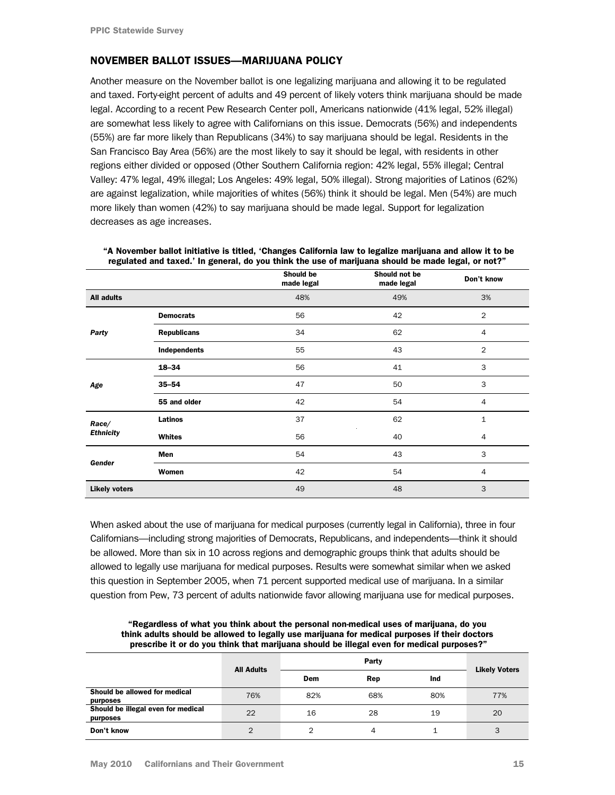### NOVEMBER BALLOT ISSUES—MARIJUANA POLICY

Another measure on the November ballot is one legalizing marijuana and allowing it to be regulated and taxed. Forty-eight percent of adults and 49 percent of likely voters think marijuana should be made legal. According to a recent Pew Research Center poll, Americans nationwide (41% legal, 52% illegal) are somewhat less likely to agree with Californians on this issue. Democrats (56%) and independents (55%) are far more likely than Republicans (34%) to say marijuana should be legal. Residents in the San Francisco Bay Area (56%) are the most likely to say it should be legal, with residents in other regions either divided or opposed (Other Southern California region: 42% legal, 55% illegal; Central Valley: 47% legal, 49% illegal; Los Angeles: 49% legal, 50% illegal). Strong majorities of Latinos (62%) are against legalization, while majorities of whites (56%) think it should be legal. Men (54%) are much more likely than women (42%) to say marijuana should be made legal. Support for legalization decreases as age increases.

|                      |                    | Should be<br>made legal | Should not be<br>made legal | Don't know     |
|----------------------|--------------------|-------------------------|-----------------------------|----------------|
| <b>All adults</b>    |                    | 48%                     | 49%                         | 3%             |
|                      | <b>Democrats</b>   | 56                      | 42                          | 2              |
| Party                | <b>Republicans</b> | 34                      | 62                          | 4              |
|                      | Independents       | 55                      | 43                          | $\overline{2}$ |
| Age                  | $18 - 34$          | 56                      | 41                          | 3              |
|                      | $35 - 54$          | 47                      | 50                          | 3              |
|                      | 55 and older       | 42                      | 54                          | $\overline{4}$ |
| Race/                | <b>Latinos</b>     | 37                      | 62                          | 1              |
| <b>Ethnicity</b>     | Whites             | 56                      | 40                          | $\overline{4}$ |
| Gender               | Men                | 54                      | 43                          | 3              |
|                      | Women              | 42                      | 54                          | $\overline{4}$ |
| <b>Likely voters</b> |                    | 49                      | 48                          | 3              |

| "A November ballot initiative is titled, 'Changes California law to legalize marijuana and allow it to be |
|-----------------------------------------------------------------------------------------------------------|
| regulated and taxed.' In general, do you think the use of marijuana should be made legal, or not?"        |

When asked about the use of marijuana for medical purposes (currently legal in California), three in four Californians—including strong majorities of Democrats, Republicans, and independents—think it should be allowed. More than six in 10 across regions and demographic groups think that adults should be allowed to legally use marijuana for medical purposes. Results were somewhat similar when we asked this question in September 2005, when 71 percent supported medical use of marijuana. In a similar question from Pew, 73 percent of adults nationwide favor allowing marijuana use for medical purposes.

"Regardless of what you think about the personal non-medical uses of marijuana, do you think adults should be allowed to legally use marijuana for medical purposes if their doctors prescribe it or do you think that marijuana should be illegal even for medical purposes?"

|                                                | <b>All Adults</b> | Party |     |     |     | <b>Likely Voters</b> |  |
|------------------------------------------------|-------------------|-------|-----|-----|-----|----------------------|--|
|                                                |                   | Dem   | Rep | Ind |     |                      |  |
| Should be allowed for medical<br>purposes      | 76%               | 82%   | 68% | 80% | 77% |                      |  |
| Should be illegal even for medical<br>purposes | 22                | 16    | 28  | 19  | 20  |                      |  |
| Don't know                                     | $\overline{2}$    |       | 4   |     | 3   |                      |  |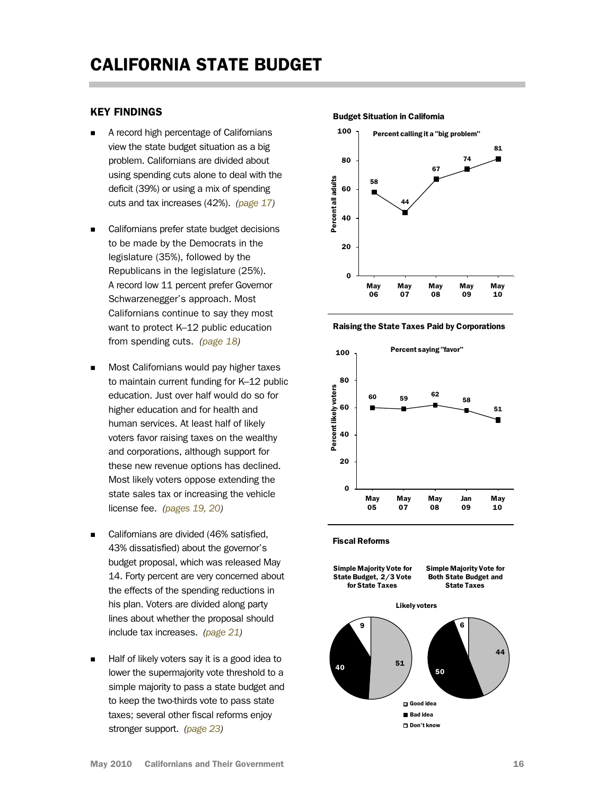### <span id="page-15-0"></span>KEY FINDINGS

- A record high percentage of Californians view the state budget situation as a big problem. Californians are divided about using spending cuts alone to deal with the deficit (39%) or using a mix of spending cuts and tax increases (42%). *[\(page 17\)](#page-16-0)*
- Californians prefer state budget decisions to be made by the Democrats in the legislature (35%), followed by the Republicans in the legislature (25%). A record low 11 percent prefer Governor Schwarzenegger's approach. Most Californians continue to say they most want to protect K–12 public education from spending cuts. *[\(page 18\)](#page-17-0)*
- Most Californians would pay higher taxes to maintain current funding for K–12 public education. Just over half would do so for higher education and for health and human services. At least half of likely voters favor raising taxes on the wealthy and corporations, although support for these new revenue options has declined. Most likely voters oppose extending the state sales tax or increasing the vehicle license fee. *[\(pages 19, 20\)](#page-18-0)*
- Californians are divided (46% satisfied, 43% dissatisfied) about the governor's budget proposal, which was released May 14. Forty percent are very concerned about the effects of the spending reductions in his plan. Voters are divided along party lines about whether the proposal should include tax increases. *[\(page 21\)](#page-20-0)*
- Half of likely voters say it is a good idea to lower the supermajority vote threshold to a simple majority to pass a state budget and to keep the two-thirds vote to pass state taxes; several other fiscal reforms enjoy stronger support. *[\(page 23\)](#page-22-0)*

#### Budget Situation in California



Raising the State Taxes Paid by Corporations



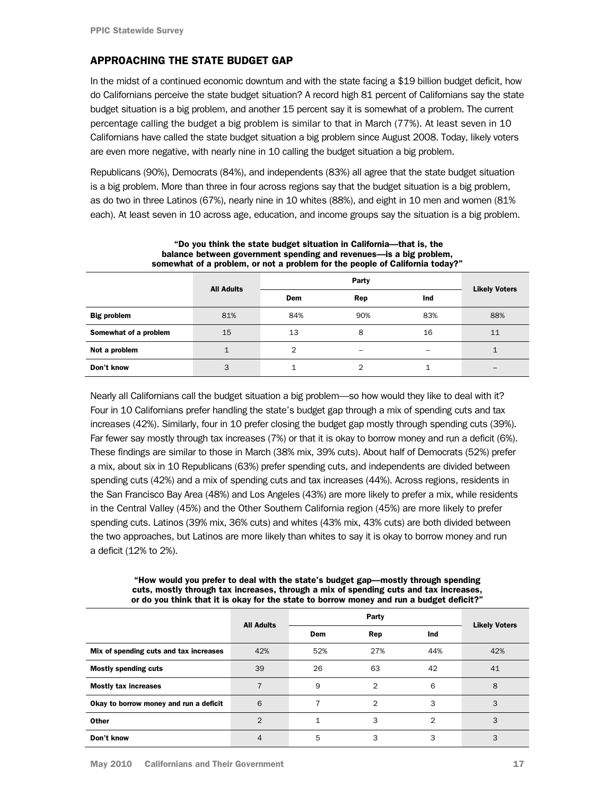# <span id="page-16-0"></span>APPROACHING THE STATE BUDGET GAP

In the midst of a continued economic downturn and with the state facing a \$19 billion budget deficit, how do Californians perceive the state budget situation? A record high 81 percent of Californians say the state budget situation is a big problem, and another 15 percent say it is somewhat of a problem. The current percentage calling the budget a big problem is similar to that in March (77%). At least seven in 10 Californians have called the state budget situation a big problem since August 2008. Today, likely voters are even more negative, with nearly nine in 10 calling the budget situation a big problem.

Republicans (90%), Democrats (84%), and independents (83%) all agree that the state budget situation is a big problem. More than three in four across regions say that the budget situation is a big problem, as do two in three Latinos (67%), nearly nine in 10 whites (88%), and eight in 10 men and women (81% each). At least seven in 10 across age, education, and income groups say the situation is a big problem.

| <u>balance between government spenuing and revenues—is a big problem,</u><br>somewhat of a problem, or not a problem for the people of California today?" |                   |     |       |            |                      |  |  |
|-----------------------------------------------------------------------------------------------------------------------------------------------------------|-------------------|-----|-------|------------|----------------------|--|--|
|                                                                                                                                                           | <b>All Adults</b> |     | Party |            |                      |  |  |
|                                                                                                                                                           |                   | Dem | Rep   | <b>Ind</b> | <b>Likely Voters</b> |  |  |
| <b>Big problem</b>                                                                                                                                        | 81%               | 84% | 90%   | 83%        | 88%                  |  |  |
| Somewhat of a problem                                                                                                                                     | 15                | 13  | 8     | 16         | 11                   |  |  |
| Not a problem                                                                                                                                             |                   | 2   | -     |            |                      |  |  |
| Don't know                                                                                                                                                | 3                 |     |       |            |                      |  |  |

# "Do you think the state budget situation in California—that is, the balance between government spending and revenues—is a big problem,

Nearly all Californians call the budget situation a big problem—so how would they like to deal with it? Four in 10 Californians prefer handling the state's budget gap through a mix of spending cuts and tax increases (42%). Similarly, four in 10 prefer closing the budget gap mostly through spending cuts (39%). Far fewer say mostly through tax increases (7%) or that it is okay to borrow money and run a deficit (6%). These findings are similar to those in March (38% mix, 39% cuts). About half of Democrats (52%) prefer a mix, about six in 10 Republicans (63%) prefer spending cuts, and independents are divided between spending cuts (42%) and a mix of spending cuts and tax increases (44%). Across regions, residents in the San Francisco Bay Area (48%) and Los Angeles (43%) are more likely to prefer a mix, while residents in the Central Valley (45%) and the Other Southern California region (45%) are more likely to prefer spending cuts. Latinos (39% mix, 36% cuts) and whites (43% mix, 43% cuts) are both divided between the two approaches, but Latinos are more likely than whites to say it is okay to borrow money and run a deficit (12% to 2%).

"How would you prefer to deal with the state's budget gap—mostly through spending cuts, mostly through tax increases, through a mix of spending cuts and tax increases, or do you think that it is okay for the state to borrow money and run a budget deficit?"

|                                        | <b>All Adults</b> |     | <b>Likely Voters</b> |     |     |
|----------------------------------------|-------------------|-----|----------------------|-----|-----|
|                                        |                   | Dem | Rep                  | Ind |     |
| Mix of spending cuts and tax increases | 42%               | 52% | 27%                  | 44% | 42% |
| <b>Mostly spending cuts</b>            | 39                | 26  | 63                   | 42  | 41  |
| <b>Mostly tax increases</b>            | 7                 | 9   | $\overline{2}$       | 6   | 8   |
| Okay to borrow money and run a deficit | 6                 |     | $\mathcal{P}$        | 3   | 3   |
| Other                                  | $\overline{2}$    | 1   | 3                    | 2   | 3   |
| Don't know                             | 4                 | 5   | 3                    | 3   | 3   |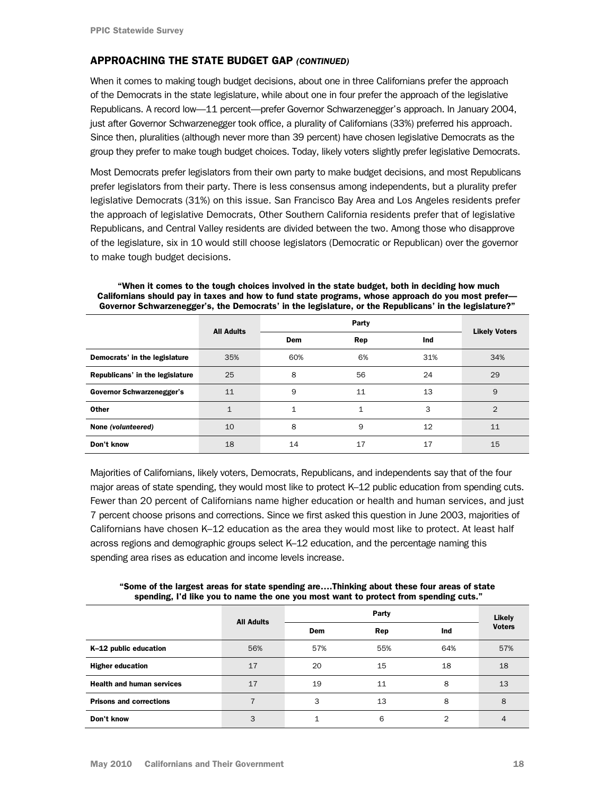# <span id="page-17-0"></span>APPROACHING THE STATE BUDGET GAP *(CONTINUED)*

When it comes to making tough budget decisions, about one in three Californians prefer the approach of the Democrats in the state legislature, while about one in four prefer the approach of the legislative Republicans. A record low—11 percent—prefer Governor Schwarzenegger's approach. In January 2004, just after Governor Schwarzenegger took office, a plurality of Californians (33%) preferred his approach. Since then, pluralities (although never more than 39 percent) have chosen legislative Democrats as the group they prefer to make tough budget choices. Today, likely voters slightly prefer legislative Democrats.

Most Democrats prefer legislators from their own party to make budget decisions, and most Republicans prefer legislators from their party. There is less consensus among independents, but a plurality prefer legislative Democrats (31%) on this issue. San Francisco Bay Area and Los Angeles residents prefer the approach of legislative Democrats, Other Southern California residents prefer that of legislative Republicans, and Central Valley residents are divided between the two. Among those who disapprove of the legislature, six in 10 would still choose legislators (Democratic or Republican) over the governor to make tough budget decisions.

|                                  | <b>All Adults</b> |              | <b>Likely Voters</b> |     |                |
|----------------------------------|-------------------|--------------|----------------------|-----|----------------|
|                                  |                   | Dem          | Rep                  | Ind |                |
| Democrats' in the legislature    | 35%               | 60%          | 6%                   | 31% | 34%            |
| Republicans' in the legislature  | 25                | 8            | 56                   | 24  | 29             |
| <b>Governor Schwarzenegger's</b> | 11                | 9            | 11                   | 13  | 9              |
| <b>Other</b>                     | $\mathbf{1}$      | $\mathbf{1}$ | 1                    | 3   | $\overline{2}$ |
| None (volunteered)               | 10                | 8            | 9                    | 12  | 11             |
| Don't know                       | 18                | 14           | 17                   | 17  | 15             |

 "When it comes to the tough choices involved in the state budget, both in deciding how much Californians should pay in taxes and how to fund state programs, whose approach do you most prefer— Governor Schwarzenegger's, the Democrats' in the legislature, or the Republicans' in the legislature?"

Majorities of Californians, likely voters, Democrats, Republicans, and independents say that of the four major areas of state spending, they would most like to protect K–12 public education from spending cuts. Fewer than 20 percent of Californians name higher education or health and human services, and just 7 percent choose prisons and corrections. Since we first asked this question in June 2003, majorities of Californians have chosen K–12 education as the area they would most like to protect. At least half across regions and demographic groups select K–12 education, and the percentage naming this spending area rises as education and income levels increase.

All Adults Party **Contract Contract Contract Contract Contract Contract Contract Contract Contract Contract Contract Contract Contract Contract Contract Contract Contract Contract Contract Contract Contract Contract Contract Contract** Voters Dem Rep Ind **K-12 public education** 65% 57% 55% 57% 57% 57% 57% 57% 57% 57% Higher education 17 20 15 18 18 **Health and human services** 17 19 11 8 13 **Prisons and corrections 7** 3 13 8 8 8

Don't know 3 1 6 2 4

"Some of the largest areas for state spending are….Thinking about these four areas of state spending, I'd like you to name the one you most want to protect from spending cuts."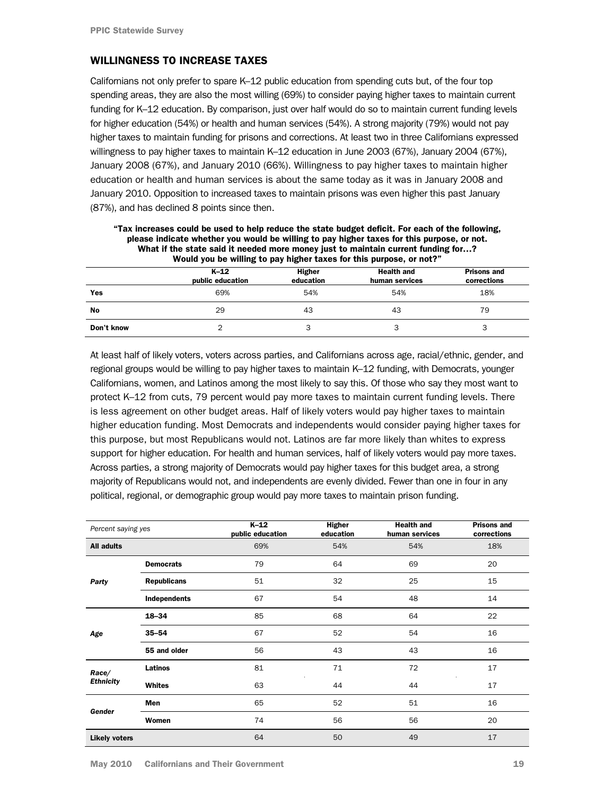### <span id="page-18-0"></span>WILLINGNESS TO INCREASE TAXES

Californians not only prefer to spare K–12 public education from spending cuts but, of the four top spending areas, they are also the most willing (69%) to consider paying higher taxes to maintain current funding for K–12 education. By comparison, just over half would do so to maintain current funding levels for higher education (54%) or health and human services (54%). A strong majority (79%) would not pay higher taxes to maintain funding for prisons and corrections. At least two in three Californians expressed willingness to pay higher taxes to maintain K–12 education in June 2003 (67%), January 2004 (67%), January 2008 (67%), and January 2010 (66%). Willingness to pay higher taxes to maintain higher education or health and human services is about the same today as it was in January 2008 and January 2010. Opposition to increased taxes to maintain prisons was even higher this past January (87%), and has declined 8 points since then.

| <u>WHAT IT THE STATE SAID IT HERICA HIGHE HIGHEY JUST TO HIGHITAHI CUITEIIT IUNUILE IOI: I</u><br>Would you be willing to pay higher taxes for this purpose, or not?" |                          |                            |                                     |                                   |  |  |
|-----------------------------------------------------------------------------------------------------------------------------------------------------------------------|--------------------------|----------------------------|-------------------------------------|-----------------------------------|--|--|
|                                                                                                                                                                       | K-12<br>public education | <b>Higher</b><br>education | <b>Health and</b><br>human services | <b>Prisons and</b><br>corrections |  |  |
| Yes                                                                                                                                                                   | 69%                      | 54%                        | 54%                                 | 18%                               |  |  |
| No                                                                                                                                                                    | 29                       | 43                         | 43                                  | 79                                |  |  |
| Don't know                                                                                                                                                            |                          |                            | 3                                   |                                   |  |  |

| "Tax increases could be used to help reduce the state budget deficit. For each of the following, |
|--------------------------------------------------------------------------------------------------|
| please indicate whether you would be willing to pay higher taxes for this purpose, or not.       |
| What if the state said it needed more money just to maintain current funding for?                |
| Would you be willing to pay higher taxes for this purpose, or not?"                              |

At least half of likely voters, voters across parties, and Californians across age, racial/ethnic, gender, and regional groups would be willing to pay higher taxes to maintain K–12 funding, with Democrats, younger Californians, women, and Latinos among the most likely to say this. Of those who say they most want to protect K–12 from cuts, 79 percent would pay more taxes to maintain current funding levels. There is less agreement on other budget areas. Half of likely voters would pay higher taxes to maintain higher education funding. Most Democrats and independents would consider paying higher taxes for this purpose, but most Republicans would not. Latinos are far more likely than whites to express support for higher education. For health and human services, half of likely voters would pay more taxes. Across parties, a strong majority of Democrats would pay higher taxes for this budget area, a strong majority of Republicans would not, and independents are evenly divided. Fewer than one in four in any political, regional, or demographic group would pay more taxes to maintain prison funding.

| Percent saying yes   |                    | $K-12$<br>public education | Higher<br>education | <b>Health and</b><br>human services | <b>Prisons and</b><br>corrections |
|----------------------|--------------------|----------------------------|---------------------|-------------------------------------|-----------------------------------|
| <b>All adults</b>    |                    | 69%                        | 54%                 | 54%                                 | 18%                               |
|                      | <b>Democrats</b>   | 79                         | 64                  | 69                                  | 20                                |
| Party                | <b>Republicans</b> | 51                         | 32                  | 25                                  | 15                                |
|                      | Independents       | 67                         | 54                  | 48                                  | 14                                |
|                      | 18-34              | 85                         | 68                  | 64                                  | 22                                |
| Age                  | $35 - 54$          | 67                         | 52                  | 54                                  | 16                                |
|                      | 55 and older       | 56                         | 43                  | 43                                  | 16                                |
| Race/                | <b>Latinos</b>     | 81                         | 71                  | 72                                  | 17                                |
| <b>Ethnicity</b>     | Whites             | 63                         | 44                  | 44                                  | 17                                |
|                      | Men                | 65                         | 52                  | 51                                  | 16                                |
| Gender               | Women              | 74                         | 56                  | 56                                  | 20                                |
| <b>Likely voters</b> |                    | 64                         | 50                  | 49                                  | 17                                |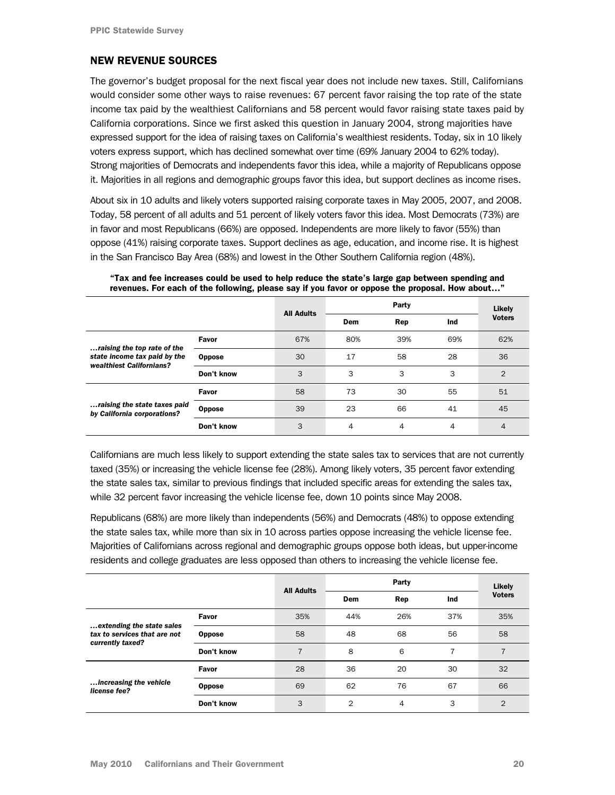# NEW REVENUE SOURCES

The governor's budget proposal for the next fiscal year does not include new taxes. Still, Californians would consider some other ways to raise revenues: 67 percent favor raising the top rate of the state income tax paid by the wealthiest Californians and 58 percent would favor raising state taxes paid by California corporations. Since we first asked this question in January 2004, strong majorities have expressed support for the idea of raising taxes on California's wealthiest residents. Today, six in 10 likely voters express support, which has declined somewhat over time (69% January 2004 to 62% today). Strong majorities of Democrats and independents favor this idea, while a majority of Republicans oppose it. Majorities in all regions and demographic groups favor this idea, but support declines as income rises.

About six in 10 adults and likely voters supported raising corporate taxes in May 2005, 2007, and 2008. Today, 58 percent of all adults and 51 percent of likely voters favor this idea. Most Democrats (73%) are in favor and most Republicans (66%) are opposed. Independents are more likely to favor (55%) than oppose (41%) raising corporate taxes. Support declines as age, education, and income rise. It is highest in the San Francisco Bay Area (68%) and lowest in the Other Southern California region (48%).

|                                                                                         |               | <b>All Adults</b> | Party |     |     | Likely         |
|-----------------------------------------------------------------------------------------|---------------|-------------------|-------|-----|-----|----------------|
|                                                                                         |               |                   | Dem   | Rep | Ind | <b>Voters</b>  |
| raising the top rate of the<br>state income tax paid by the<br>wealthiest Californians? | Favor         | 67%               | 80%   | 39% | 69% | 62%            |
|                                                                                         | <b>Oppose</b> | 30                | 17    | 58  | 28  | 36             |
|                                                                                         | Don't know    | 3                 | 3     | 3   | 3   | $\overline{2}$ |
| raising the state taxes paid<br>by California corporations?                             | Favor         | 58                | 73    | 30  | 55  | 51             |
|                                                                                         | <b>Oppose</b> | 39                | 23    | 66  | 41  | 45             |
|                                                                                         | Don't know    | 3                 | 4     | 4   | 4   | 4              |

#### "Tax and fee increases could be used to help reduce the state's large gap between spending and revenues. For each of the following, please say if you favor or oppose the proposal. How about…"

Californians are much less likely to support extending the state sales tax to services that are not currently taxed (35%) or increasing the vehicle license fee (28%). Among likely voters, 35 percent favor extending the state sales tax, similar to previous findings that included specific areas for extending the sales tax, while 32 percent favor increasing the vehicle license fee, down 10 points since May 2008.

Republicans (68%) are more likely than independents (56%) and Democrats (48%) to oppose extending the state sales tax, while more than six in 10 across parties oppose increasing the vehicle license fee. Majorities of Californians across regional and demographic groups oppose both ideas, but upper-income residents and college graduates are less opposed than others to increasing the vehicle license fee.

|                                                                               |               | <b>All Adults</b> | Party          |     |     | Likely         |
|-------------------------------------------------------------------------------|---------------|-------------------|----------------|-----|-----|----------------|
|                                                                               |               |                   | Dem            | Rep | Ind | <b>Voters</b>  |
|                                                                               | <b>Favor</b>  | 35%               | 44%            | 26% | 37% | 35%            |
| extending the state sales<br>tax to services that are not<br>currently taxed? | <b>Oppose</b> | 58                | 48             | 68  | 56  | 58             |
|                                                                               | Don't know    | $\overline{7}$    | 8              | 6   | 7   | 7              |
| increasing the vehicle<br>license fee?                                        | Favor         | 28                | 36             | 20  | 30  | 32             |
|                                                                               | <b>Oppose</b> | 69                | 62             | 76  | 67  | 66             |
|                                                                               | Don't know    | 3                 | $\overline{2}$ | 4   | 3   | $\overline{2}$ |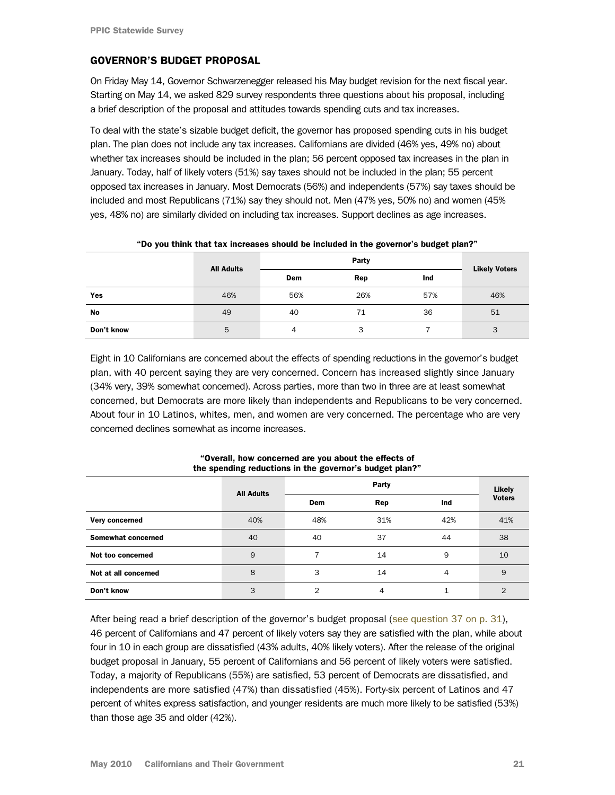# <span id="page-20-0"></span>GOVERNOR'S BUDGET PROPOSAL

On Friday May 14, Governor Schwarzenegger released his May budget revision for the next fiscal year. Starting on May 14, we asked 829 survey respondents three questions about his proposal, including a brief description of the proposal and attitudes towards spending cuts and tax increases.

To deal with the state's sizable budget deficit, the governor has proposed spending cuts in his budget plan. The plan does not include any tax increases. Californians are divided (46% yes, 49% no) about whether tax increases should be included in the plan; 56 percent opposed tax increases in the plan in January. Today, half of likely voters (51%) say taxes should not be included in the plan; 55 percent opposed tax increases in January. Most Democrats (56%) and independents (57%) say taxes should be included and most Republicans (71%) say they should not. Men (47% yes, 50% no) and women (45% yes, 48% no) are similarly divided on including tax increases. Support declines as age increases.

|            | <b>All Adults</b> |     |     |     |                      |
|------------|-------------------|-----|-----|-----|----------------------|
|            |                   | Dem | Rep | Ind | <b>Likely Voters</b> |
| Yes        | 46%               | 56% | 26% | 57% | 46%                  |
| No         | 49                | 40  | 71  | 36  | 51                   |
| Don't know | 5                 | 4   | 3   |     | 3                    |

"Do you think that tax increases should be included in the governor's budget plan?"

Eight in 10 Californians are concerned about the effects of spending reductions in the governor's budget plan, with 40 percent saying they are very concerned. Concern has increased slightly since January (34% very, 39% somewhat concerned). Across parties, more than two in three are at least somewhat concerned, but Democrats are more likely than independents and Republicans to be very concerned. About four in 10 Latinos, whites, men, and women are very concerned. The percentage who are very concerned declines somewhat as income increases.

|                      | <b>All Adults</b> |                | Party |     |                |
|----------------------|-------------------|----------------|-------|-----|----------------|
|                      |                   | <b>Dem</b>     | Rep   | Ind | <b>Voters</b>  |
| Very concerned       | 40%               | 48%            | 31%   | 42% | 41%            |
| Somewhat concerned   | 40                | 40             | 37    | 44  | 38             |
| Not too concerned    | 9                 | 7              | 14    | 9   | 10             |
| Not at all concerned | 8                 | 3              | 14    | 4   | 9              |
| Don't know           | 3                 | $\overline{2}$ | 4     | 1   | $\overline{2}$ |

"Overall, how concerned are you about the effects of the spending reductions in the governor's budget plan?"

After being read a brief description of the governor's budget proposal ([see question 37 on p. 31\)](#page-30-0), 46 percent of Californians and 47 percent of likely voters say they are satisfied with the plan, while about four in 10 in each group are dissatisfied (43% adults, 40% likely voters). After the release of the original budget proposal in January, 55 percent of Californians and 56 percent of likely voters were satisfied. Today, a majority of Republicans (55%) are satisfied, 53 percent of Democrats are dissatisfied, and independents are more satisfied (47%) than dissatisfied (45%). Forty-six percent of Latinos and 47 percent of whites express satisfaction, and younger residents are much more likely to be satisfied (53%) than those age 35 and older (42%).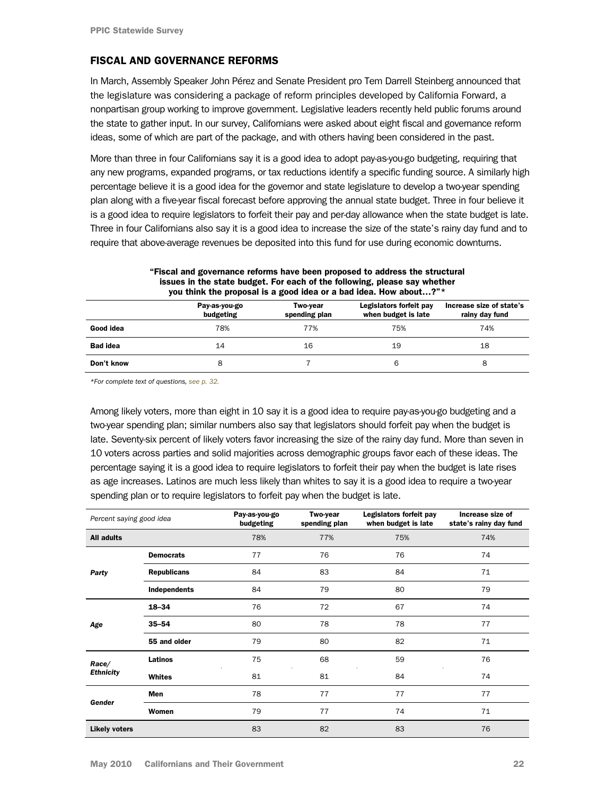# <span id="page-21-0"></span>FISCAL AND GOVERNANCE REFORMS

In March, Assembly Speaker John Pérez and Senate President pro Tem Darrell Steinberg announced that the legislature was considering a package of reform principles developed by California Forward, a nonpartisan group working to improve government. Legislative leaders recently held public forums around the state to gather input. In our survey, Californians were asked about eight fiscal and governance reform ideas, some of which are part of the package, and with others having been considered in the past.

More than three in four Californians say it is a good idea to adopt pay-as-you-go budgeting, requiring that any new programs, expanded programs, or tax reductions identify a specific funding source. A similarly high percentage believe it is a good idea for the governor and state legislature to develop a two-year spending plan along with a five-year fiscal forecast before approving the annual state budget. Three in four believe it is a good idea to require legislators to forfeit their pay and per-day allowance when the state budget is late. Three in four Californians also say it is a good idea to increase the size of the state's rainy day fund and to require that above-average revenues be deposited into this fund for use during economic downturns.

| you think the proposal is a good idea or a bad idea. How about? " |                            |                           |                                                |                                            |  |  |  |
|-------------------------------------------------------------------|----------------------------|---------------------------|------------------------------------------------|--------------------------------------------|--|--|--|
|                                                                   | Pay-as-you-go<br>budgeting | Two-vear<br>spending plan | Legislators forfeit pay<br>when budget is late | Increase size of state's<br>rainy day fund |  |  |  |
| Good idea                                                         | 78%                        | 77%                       | 75%                                            | 74%                                        |  |  |  |
| <b>Bad idea</b>                                                   | 14                         | 16                        | 19                                             | 18                                         |  |  |  |
| Don't know                                                        | 8                          |                           | 6                                              |                                            |  |  |  |

#### "Fiscal and governance reforms have been proposed to address the structural issues in the state budget. For each of the following, please say whether<br>you think the prepased is a good idea as a had idea. How about 2"\* you think the proposal is a good idea or a bad idea. How about…?"\*

[\\*For complete text of questions, see p. 32.](#page-31-0)

Among likely voters, more than eight in 10 say it is a good idea to require pay-as-you-go budgeting and a two-year spending plan; similar numbers also say that legislators should forfeit pay when the budget is late. Seventy-six percent of likely voters favor increasing the size of the rainy day fund. More than seven in 10 voters across parties and solid majorities across demographic groups favor each of these ideas. The percentage saying it is a good idea to require legislators to forfeit their pay when the budget is late rises as age increases. Latinos are much less likely than whites to say it is a good idea to require a two-year spending plan or to require legislators to forfeit pay when the budget is late.

| Percent saying good idea |                    | Pay-as-you-go<br>budgeting | Two-year<br>spending plan | Legislators forfeit pay<br>when budget is late | Increase size of<br>state's rainy day fund |
|--------------------------|--------------------|----------------------------|---------------------------|------------------------------------------------|--------------------------------------------|
| All adults               |                    | 78%                        | 77%                       | 75%                                            | 74%                                        |
|                          | <b>Democrats</b>   | 77                         | 76                        | 76                                             | 74                                         |
| Party                    | <b>Republicans</b> | 84                         | 83                        | 84                                             | 71                                         |
|                          | Independents       | 84                         | 79                        | 80                                             | 79                                         |
| Age                      | $18 - 34$          | 76                         | 72                        | 67                                             | 74                                         |
|                          | $35 - 54$          | 80                         | 78                        | 78                                             | 77                                         |
|                          | 55 and older       | 79                         | 80                        | 82                                             | 71                                         |
| Race/                    | Latinos            | 75                         | 68                        | 59                                             | 76                                         |
| <b>Ethnicity</b>         | Whites             | 81                         | 81                        | 84                                             | 74                                         |
|                          | <b>Men</b>         | 78                         | 77                        | 77                                             | 77                                         |
| Gender                   | Women              | 79                         | 77                        | 74                                             | 71                                         |
| <b>Likely voters</b>     |                    | 83                         | 82                        | 83                                             | 76                                         |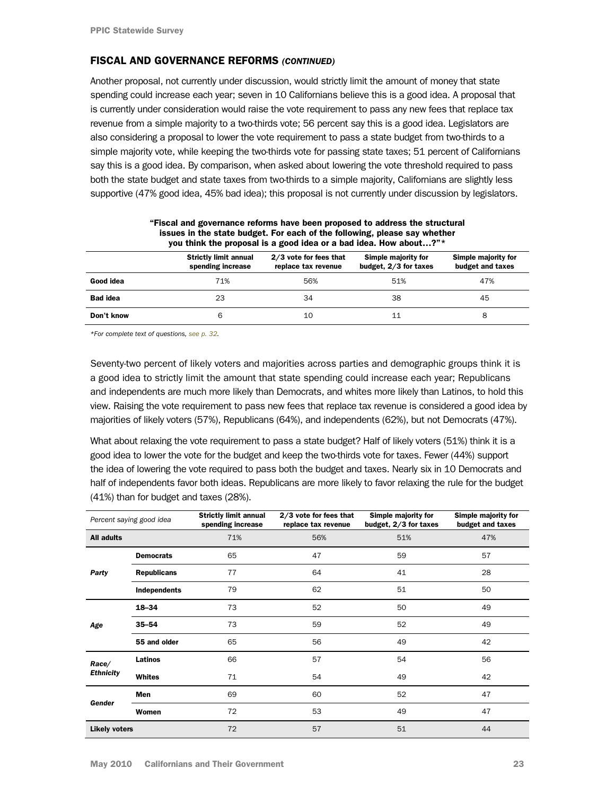### <span id="page-22-0"></span>FISCAL AND GOVERNANCE REFORMS *(CONTINUED)*

Another proposal, not currently under discussion, would strictly limit the amount of money that state spending could increase each year; seven in 10 Californians believe this is a good idea. A proposal that is currently under consideration would raise the vote requirement to pass any new fees that replace tax revenue from a simple majority to a two-thirds vote; 56 percent say this is a good idea. Legislators are also considering a proposal to lower the vote requirement to pass a state budget from two-thirds to a simple majority vote, while keeping the two-thirds vote for passing state taxes; 51 percent of Californians say this is a good idea. By comparison, when asked about lowering the vote threshold required to pass both the state budget and state taxes from two-thirds to a simple majority, Californians are slightly less supportive (47% good idea, 45% bad idea); this proposal is not currently under discussion by legislators.

|                 | you think the proposal is a good idea or a bad idea. How about?"* |                                               |                                              |                                         |  |  |
|-----------------|-------------------------------------------------------------------|-----------------------------------------------|----------------------------------------------|-----------------------------------------|--|--|
|                 | <b>Strictly limit annual</b><br>spending increase                 | 2/3 vote for fees that<br>replace tax revenue | Simple majority for<br>budget, 2/3 for taxes | Simple majority for<br>budget and taxes |  |  |
| Good idea       | 71%                                                               | 56%                                           | 51%                                          | 47%                                     |  |  |
| <b>Bad idea</b> | 23                                                                | 34                                            | 38                                           | 45                                      |  |  |
| Don't know      | 6                                                                 | 10                                            | 11                                           | 8                                       |  |  |

"Fiscal and governance reforms have been proposed to address the structural issues in the state budget. For each of the following, please say whether

*[\\*For complete text of questions, see p. 32.](#page-31-0)* 

Seventy-two percent of likely voters and majorities across parties and demographic groups think it is a good idea to strictly limit the amount that state spending could increase each year; Republicans and independents are much more likely than Democrats, and whites more likely than Latinos, to hold this view. Raising the vote requirement to pass new fees that replace tax revenue is considered a good idea by majorities of likely voters (57%), Republicans (64%), and independents (62%), but not Democrats (47%).

What about relaxing the vote requirement to pass a state budget? Half of likely voters (51%) think it is a good idea to lower the vote for the budget and keep the two-thirds vote for taxes. Fewer (44%) support the idea of lowering the vote required to pass both the budget and taxes. Nearly six in 10 Democrats and half of independents favor both ideas. Republicans are more likely to favor relaxing the rule for the budget (41%) than for budget and taxes (28%).

| Percent saying good idea  |                    | <b>Strictly limit annual</b><br>spending increase | 2/3 vote for fees that<br>replace tax revenue | Simple majority for<br>budget, 2/3 for taxes | Simple majority for<br>budget and taxes |
|---------------------------|--------------------|---------------------------------------------------|-----------------------------------------------|----------------------------------------------|-----------------------------------------|
| <b>All adults</b>         |                    | 71%                                               | 56%                                           | 51%                                          | 47%                                     |
| Party                     | <b>Democrats</b>   | 65                                                | 47                                            | 59                                           | 57                                      |
|                           | <b>Republicans</b> | 77                                                | 64                                            | 41                                           | 28                                      |
|                           | Independents       | 79                                                | 62                                            | 51                                           | 50                                      |
| Age                       | 18-34              | 73                                                | 52                                            | 50                                           | 49                                      |
|                           | $35 - 54$          | 73                                                | 59                                            | 52                                           | 49                                      |
|                           | 55 and older       | 65                                                | 56                                            | 49                                           | 42                                      |
| Race/<br><b>Ethnicity</b> | Latinos            | 66                                                | 57                                            | 54                                           | 56                                      |
|                           | Whites             | 71                                                | 54                                            | 49                                           | 42                                      |
| Gender                    | Men                | 69                                                | 60                                            | 52                                           | 47                                      |
|                           | Women              | 72                                                | 53                                            | 49                                           | 47                                      |
| <b>Likely voters</b>      |                    | 72                                                | 57                                            | 51                                           | 44                                      |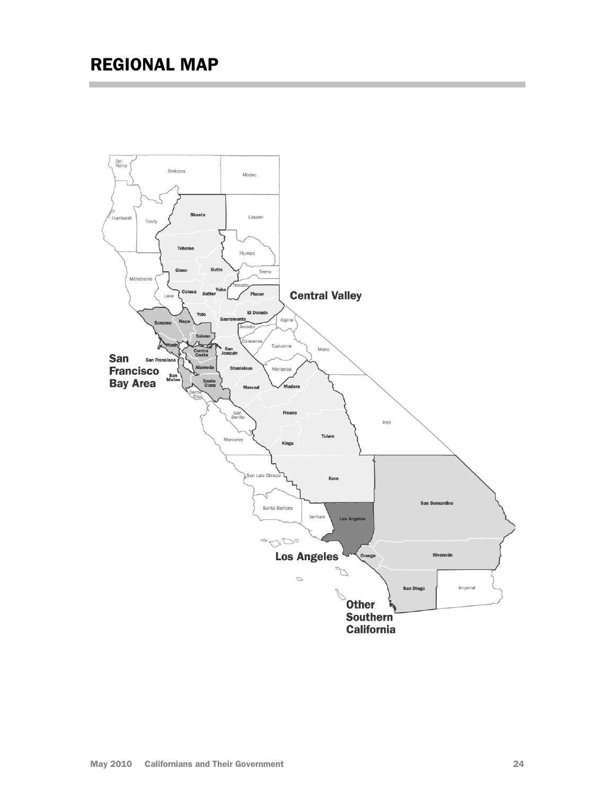<span id="page-23-0"></span>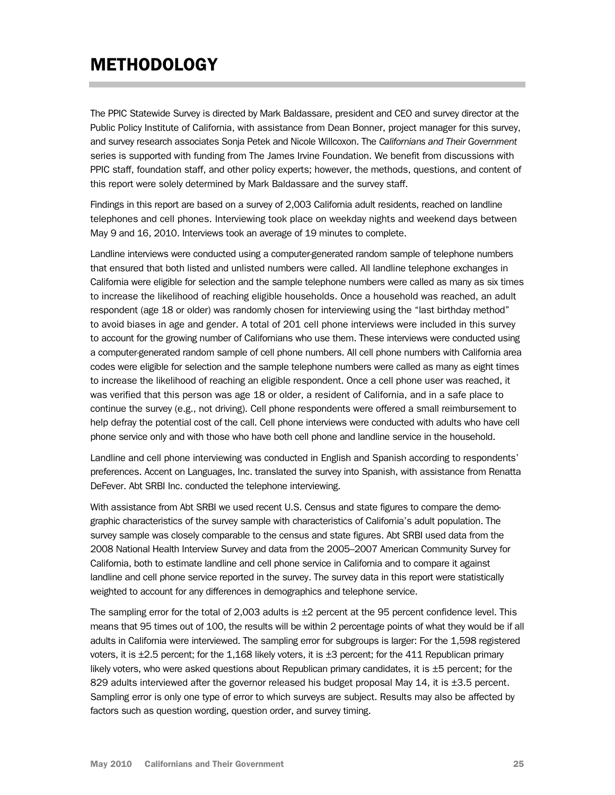# <span id="page-24-0"></span>**METHODOLOGY**

The PPIC Statewide Survey is directed by Mark Baldassare, president and CEO and survey director at the Public Policy Institute of California, with assistance from Dean Bonner, project manager for this survey, and survey research associates Sonja Petek and Nicole Willcoxon. The *Californians and Their Government* series is supported with funding from The James Irvine Foundation. We benefit from discussions with PPIC staff, foundation staff, and other policy experts; however, the methods, questions, and content of this report were solely determined by Mark Baldassare and the survey staff.

Findings in this report are based on a survey of 2,003 California adult residents, reached on landline telephones and cell phones. Interviewing took place on weekday nights and weekend days between May 9 and 16, 2010. Interviews took an average of 19 minutes to complete.

Landline interviews were conducted using a computer-generated random sample of telephone numbers that ensured that both listed and unlisted numbers were called. All landline telephone exchanges in California were eligible for selection and the sample telephone numbers were called as many as six times to increase the likelihood of reaching eligible households. Once a household was reached, an adult respondent (age 18 or older) was randomly chosen for interviewing using the "last birthday method" to avoid biases in age and gender. A total of 201 cell phone interviews were included in this survey to account for the growing number of Californians who use them. These interviews were conducted using a computer-generated random sample of cell phone numbers. All cell phone numbers with California area codes were eligible for selection and the sample telephone numbers were called as many as eight times to increase the likelihood of reaching an eligible respondent. Once a cell phone user was reached, it was verified that this person was age 18 or older, a resident of California, and in a safe place to continue the survey (e.g., not driving). Cell phone respondents were offered a small reimbursement to help defray the potential cost of the call. Cell phone interviews were conducted with adults who have cell phone service only and with those who have both cell phone and landline service in the household.

Landline and cell phone interviewing was conducted in English and Spanish according to respondents' preferences. Accent on Languages, Inc. translated the survey into Spanish, with assistance from Renatta DeFever. Abt SRBI Inc. conducted the telephone interviewing.

With assistance from Abt SRBI we used recent U.S. Census and state figures to compare the demographic characteristics of the survey sample with characteristics of California's adult population. The survey sample was closely comparable to the census and state figures. Abt SRBI used data from the 2008 National Health Interview Survey and data from the 2005–2007 American Community Survey for California, both to estimate landline and cell phone service in California and to compare it against landline and cell phone service reported in the survey. The survey data in this report were statistically weighted to account for any differences in demographics and telephone service.

The sampling error for the total of 2,003 adults is  $\pm 2$  percent at the 95 percent confidence level. This means that 95 times out of 100, the results will be within 2 percentage points of what they would be if all adults in California were interviewed. The sampling error for subgroups is larger: For the 1,598 registered voters, it is  $\pm 2.5$  percent; for the 1,168 likely voters, it is  $\pm 3$  percent; for the 411 Republican primary likely voters, who were asked questions about Republican primary candidates, it is  $\pm 5$  percent; for the 829 adults interviewed after the governor released his budget proposal May 14, it is ±3.5 percent. Sampling error is only one type of error to which surveys are subject. Results may also be affected by factors such as question wording, question order, and survey timing.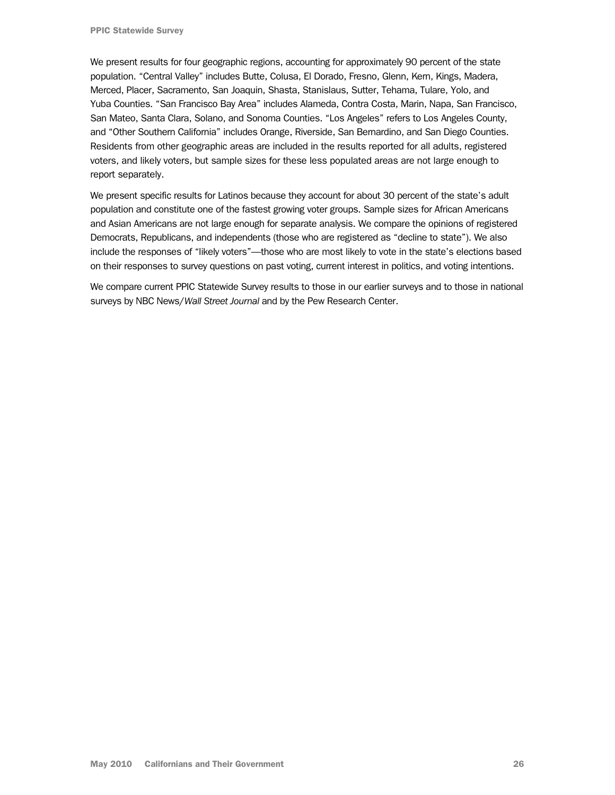We present results for four geographic regions, accounting for approximately 90 percent of the state population. "Central Valley" includes Butte, Colusa, El Dorado, Fresno, Glenn, Kern, Kings, Madera, Merced, Placer, Sacramento, San Joaquin, Shasta, Stanislaus, Sutter, Tehama, Tulare, Yolo, and Yuba Counties. "San Francisco Bay Area" includes Alameda, Contra Costa, Marin, Napa, San Francisco, San Mateo, Santa Clara, Solano, and Sonoma Counties. "Los Angeles" refers to Los Angeles County, and "Other Southern California" includes Orange, Riverside, San Bernardino, and San Diego Counties. Residents from other geographic areas are included in the results reported for all adults, registered voters, and likely voters, but sample sizes for these less populated areas are not large enough to report separately.

We present specific results for Latinos because they account for about 30 percent of the state's adult population and constitute one of the fastest growing voter groups. Sample sizes for African Americans and Asian Americans are not large enough for separate analysis. We compare the opinions of registered Democrats, Republicans, and independents (those who are registered as "decline to state"). We also include the responses of "likely voters"—those who are most likely to vote in the state's elections based on their responses to survey questions on past voting, current interest in politics, and voting intentions.

We compare current PPIC Statewide Survey results to those in our earlier surveys and to those in national surveys by NBC News/*Wall Street Journal* and by the Pew Research Center.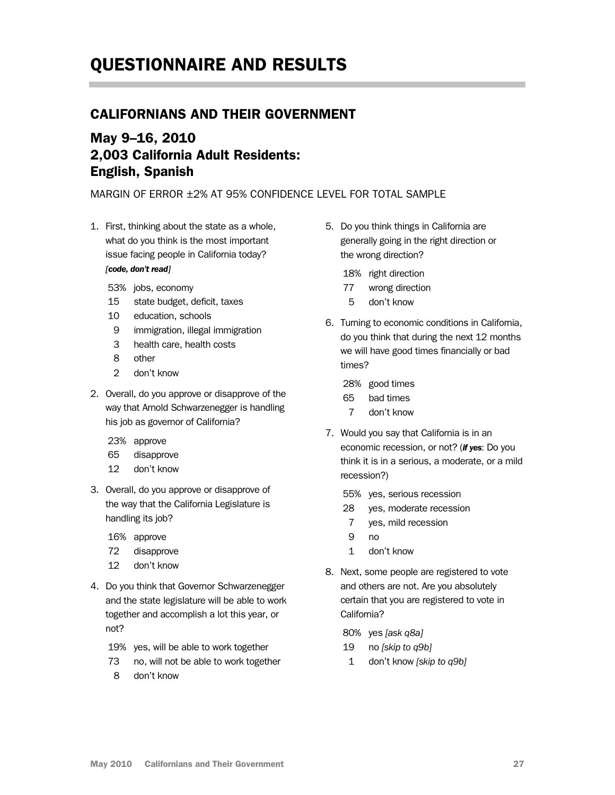# <span id="page-26-0"></span>QUESTIONNAIRE AND RESULTS

# CALIFORNIANS AND THEIR GOVERNMENT

# May 9–16, 2010 2,003 California Adult Residents: English, Spanish

MARGIN OF ERROR ±2% AT 95% CONFIDENCE LEVEL FOR TOTAL SAMPLE

1. First, thinking about the state as a whole, what do you think is the most important issue facing people in California today? *[code, don't read]*

- 53% jobs, economy
- 15 state budget, deficit, taxes
- 10 education, schools
- 9 immigration, illegal immigration
- 3 health care, health costs
- 8 other
- 2 don't know
- 2. Overall, do you approve or disapprove of the way that Arnold Schwarzenegger is handling his job as governor of California?
	- 23% approve
	- 65 disapprove
	- 12 don't know
- 3. Overall, do you approve or disapprove of the way that the California Legislature is handling its job?
	- 16% approve
	- 72 disapprove
	- 12 don't know
- 4. Do you think that Governor Schwarzenegger and the state legislature will be able to work together and accomplish a lot this year, or not?
	- 19% yes, will be able to work together
	- 73 no, will not be able to work together
	- 8 don't know
- 5. Do you think things in California are generally going in the right direction or the wrong direction?
	- 18% right direction
	- 77 wrong direction
	- 5 don't know
- 6. Turning to economic conditions in California, do you think that during the next 12 months we will have good times financially or bad times?
	- 28% good times
	- 65 bad times
	- 7 don't know
- 7. Would you say that California is in an economic recession, or not? (*if yes*: Do you think it is in a serious, a moderate, or a mild recession?)
	- 55% yes, serious recession
	- 28 yes, moderate recession
	- 7 yes, mild recession
	- 9 no
	- 1 don't know
- 8. Next, some people are registered to vote and others are not. Are you absolutely certain that you are registered to vote in California?
	- 80% yes *[ask q8a]*
	- 19 no *[skip to q9b]*
	- 1 don't know *[skip to q9b]*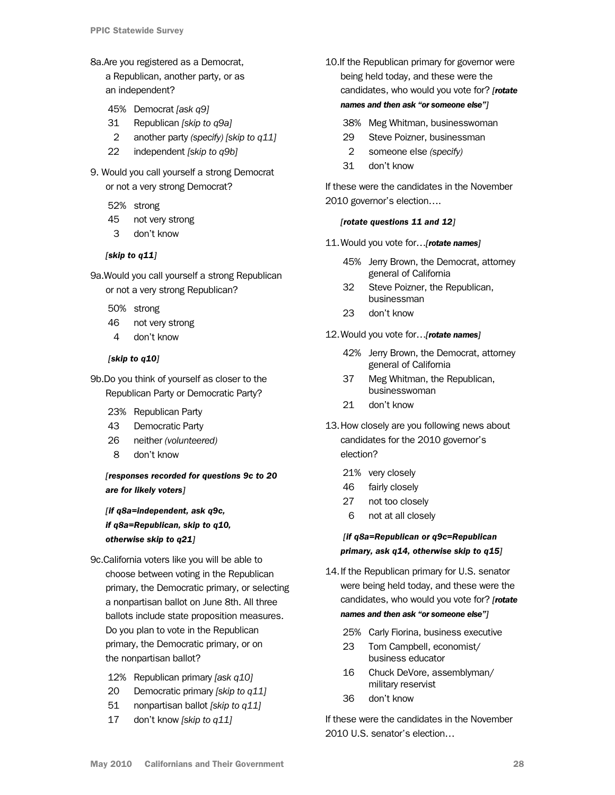8a.Are you registered as a Democrat,

a Republican, another party, or as an independent?

- 45% Democrat *[ask q9]*
- 31 Republican *[skip to q9a]*
- 2 another party *(specify) [skip to q11]*
- 22 independent *[skip to q9b]*
- 9. Would you call yourself a strong Democrat or not a very strong Democrat?
	- 52% strong
	- 45 not very strong
	- 3 don't know

### *[skip to q11]*

9a.Would you call yourself a strong Republican or not a very strong Republican?

- 50% strong
- 46 not very strong
- 4 don't know

### *[skip to q10]*

9b.Do you think of yourself as closer to the Republican Party or Democratic Party?

- 23% Republican Party
- 43 Democratic Party
- 26 neither *(volunteered)*
- 8 don't know

# *[responses recorded for questions 9c to 20 are for likely voters]*

*[if q8a=independent, ask q9c, if q8a=Republican, skip to q10, otherwise skip to q21]* 

- 9c.California voters like you will be able to choose between voting in the Republican primary, the Democratic primary, or selecting a nonpartisan ballot on June 8th. All three ballots include state proposition measures. Do you plan to vote in the Republican primary, the Democratic primary, or on the nonpartisan ballot?
	- 12% Republican primary *[ask q10]*
	- 20 Democratic primary *[skip to q11]*
	- 51 nonpartisan ballot *[skip to q11]*
	- 17 don't know *[skip to q11]*
- 10.If the Republican primary for governor were being held today, and these were the candidates, who would you vote for? *[rotate names and then ask "or someone else"]* 
	- 38% Meg Whitman, businesswoman
	- 29 Steve Poizner, businessman
	- 2 someone else *(specify)*
	- 31 don't know

If these were the candidates in the November 2010 governor's election….

#### *[rotate questions 11 and 12]*

- 11. Would you vote for…*[rotate names]* 
	- 45% Jerry Brown, the Democrat, attorney general of California
	- 32 Steve Poizner, the Republican, businessman
	- 23 don't know

#### 12. Would you vote for…*[rotate names]*

- 42% Jerry Brown, the Democrat, attorney general of California
- 37 Meg Whitman, the Republican, businesswoman
- 21 don't know
- 13. How closely are you following news about candidates for the 2010 governor's election?
	- 21% very closely
	- 46 fairly closely
	- 27 not too closely
	- 6 not at all closely

 *[if q8a=Republican or q9c=Republican primary, ask q14, otherwise skip to q15]* 

- 14. If the Republican primary for U.S. senator were being held today, and these were the candidates, who would you vote for? *[rotate names and then ask "or someone else"]*
	- 25% Carly Fiorina, business executive
	- 23 Tom Campbell, economist/ business educator
	- 16 Chuck DeVore, assemblyman/ military reservist
	- 36 don't know

If these were the candidates in the November 2010 U.S. senator's election…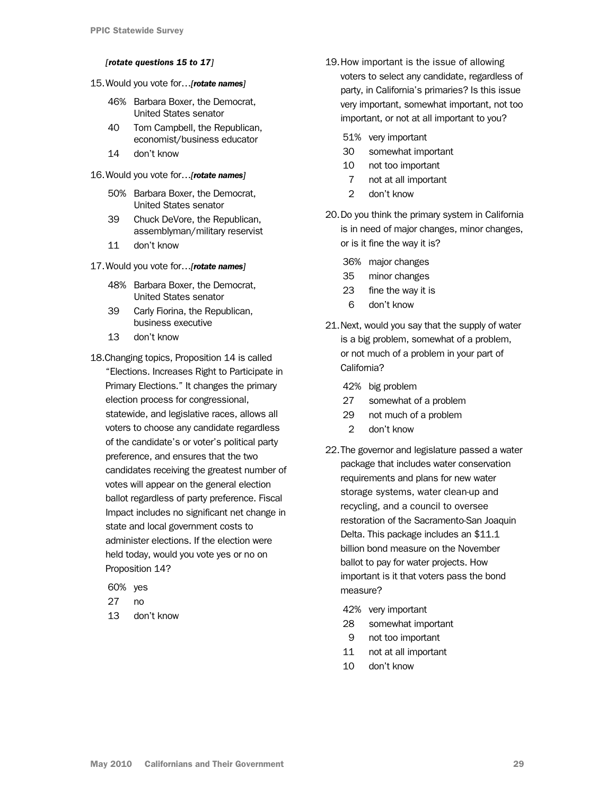#### <span id="page-28-0"></span>*[rotate questions 15 to 17]*

- 15. Would you vote for…*[rotate names]* 
	- 46% Barbara Boxer, the Democrat, United States senator
	- 40 Tom Campbell, the Republican, economist/business educator
	- 14 don't know
- 16. Would you vote for…*[rotate names]* 
	- 50% Barbara Boxer, the Democrat, United States senator
	- 39 Chuck DeVore, the Republican, assemblyman/military reservist
	- 11 don't know
- 17. Would you vote for…*[rotate names]* 
	- 48% Barbara Boxer, the Democrat, United States senator
	- 39 Carly Fiorina, the Republican, business executive
	- 13 don't know
- 18.Changing topics, Proposition 14 is called "Elections. Increases Right to Participate in Primary Elections." It changes the primary election process for congressional, statewide, and legislative races, allows all voters to choose any candidate regardless of the candidate's or voter's political party preference, and ensures that the two candidates receiving the greatest number of votes will appear on the general election ballot regardless of party preference. Fiscal Impact includes no significant net change in state and local government costs to administer elections. If the election were held today, would you vote yes or no on Proposition 14?
	- 60% yes
	- 27 no
	- 13 don't know
- 19. How important is the issue of allowing voters to select any candidate, regardless of party, in California's primaries? Is this issue very important, somewhat important, not too important, or not at all important to you?
	- 51% very important
	- 30 somewhat important
	- 10 not too important
	- 7 not at all important
	- 2 don't know
- 20. Do you think the primary system in California is in need of major changes, minor changes, or is it fine the way it is?
	- 36% major changes
	- 35 minor changes
	- 23 fine the way it is
	- 6 don't know
- 21.Next, would you say that the supply of water is a big problem, somewhat of a problem, or not much of a problem in your part of California?
	- 42% big problem
	- 27 somewhat of a problem
	- 29 not much of a problem
	- 2 don't know
- 22.The governor and legislature passed a water package that includes water conservation requirements and plans for new water storage systems, water clean-up and recycling, and a council to oversee restoration of the Sacramento-San Joaquin Delta. This package includes an \$11.1 billion bond measure on the November ballot to pay for water projects. How important is it that voters pass the bond measure?
	- 42% very important
	- 28 somewhat important
	- 9 not too important
	- 11 not at all important
	- 10 don't know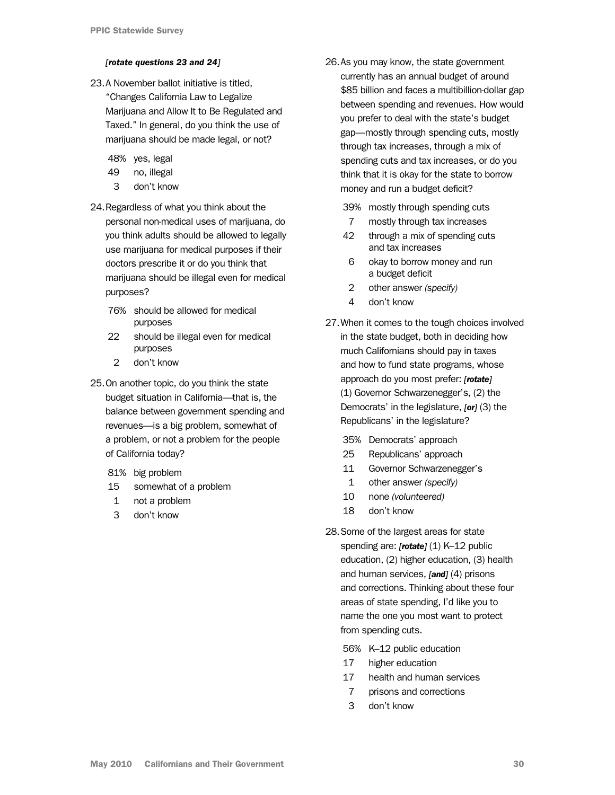#### *[rotate questions 23 and 24]*

23.A November ballot initiative is titled, "Changes California Law to Legalize Marijuana and Allow It to Be Regulated and Taxed." In general, do you think the use of marijuana should be made legal, or not?

48% yes, legal

- 49 no, illegal
- 3 don't know
- 24. Regardless of what you think about the personal non-medical uses of marijuana, do you think adults should be allowed to legally use marijuana for medical purposes if their doctors prescribe it or do you think that marijuana should be illegal even for medical purposes?
	- 76% should be allowed for medical purposes
	- 22 should be illegal even for medical purposes
	- 2 don't know
- 25.On another topic, do you think the state budget situation in California—that is, the balance between government spending and revenues—is a big problem, somewhat of a problem, or not a problem for the people of California today?
	- 81% big problem
	- 15 somewhat of a problem
	- 1 not a problem
	- 3 don't know

26.As you may know, the state government currently has an annual budget of around \$85 billion and faces a multibillion-dollar gap between spending and revenues. How would you prefer to deal with the state's budget gap—mostly through spending cuts, mostly through tax increases, through a mix of spending cuts and tax increases, or do you think that it is okay for the state to borrow money and run a budget deficit?

39% mostly through spending cuts

- 7 mostly through tax increases
- 42 through a mix of spending cuts and tax increases
- 6 okay to borrow money and run a budget deficit
- 2 other answer *(specify)*
- 4 don't know
- 27.When it comes to the tough choices involved in the state budget, both in deciding how much Californians should pay in taxes and how to fund state programs, whose approach do you most prefer: *[rotate]*  (1) Governor Schwarzenegger's, (2) the Democrats' in the legislature, *[or]* (3) the Republicans' in the legislature?
	- 35% Democrats' approach
	- 25 Republicans' approach
	- 11 Governor Schwarzenegger's
	- 1 other answer *(specify)*
	- 10 none *(volunteered)*
	- 18 don't know
- 28.Some of the largest areas for state spending are: [rotate] (1) K-12 public education, (2) higher education, (3) health and human services, *[and]* (4) prisons and corrections. Thinking about these four areas of state spending, I'd like you to name the one you most want to protect from spending cuts.
	- 56% K–12 public education
	- 17 higher education
	- 17 health and human services
	- 7 prisons and corrections
	- 3 don't know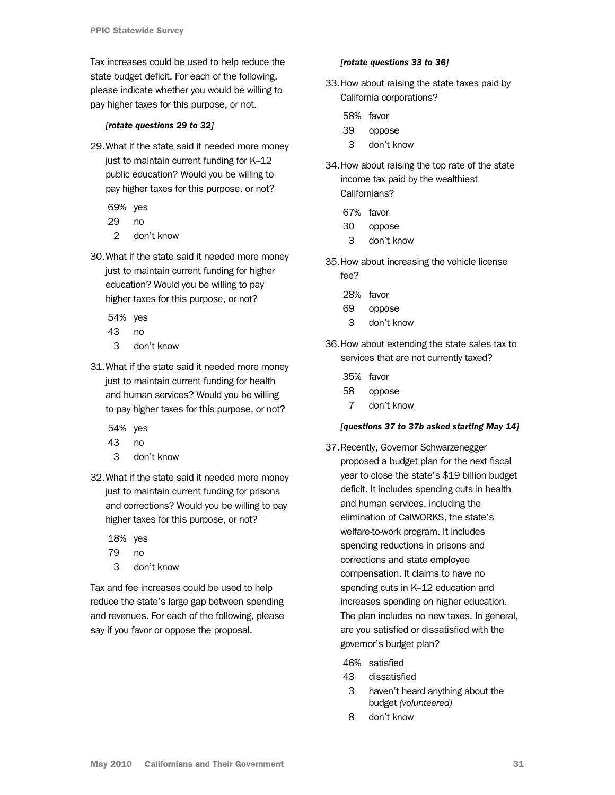<span id="page-30-0"></span>Tax increases could be used to help reduce the state budget deficit. For each of the following, please indicate whether you would be willing to pay higher taxes for this purpose, or not.

#### *[rotate questions 29 to 32]*

- 29.What if the state said it needed more money just to maintain current funding for K–12 public education? Would you be willing to pay higher taxes for this purpose, or not?
	- 69% yes
	- 29 no
	- 2 don't know
- 30.What if the state said it needed more money just to maintain current funding for higher education? Would you be willing to pay higher taxes for this purpose, or not?
	- 54% yes
	- 43 no
	- 3 don't know
- 31.What if the state said it needed more money just to maintain current funding for health and human services? Would you be willing to pay higher taxes for this purpose, or not?

54% yes

- 43 no
- 3 don't know
- 32.What if the state said it needed more money just to maintain current funding for prisons and corrections? Would you be willing to pay higher taxes for this purpose, or not?
	- 18% yes
	- 79 no
	- 3 don't know

Tax and fee increases could be used to help reduce the state's large gap between spending and revenues. For each of the following, please say if you favor or oppose the proposal.

#### *[rotate questions 33 to 36]*

- 33.How about raising the state taxes paid by California corporations?
	- 58% favor
	- 39 oppose
	- 3 don't know
- 34.How about raising the top rate of the state income tax paid by the wealthiest Californians?
	- 67% favor
	- 30 oppose
	- 3 don't know
- 35.How about increasing the vehicle license fee?
	- 28% favor
	- 69 oppose
	- 3 don't know
- 36.How about extending the state sales tax to services that are not currently taxed?
	- 35% favor
	- 58 oppose
	- 7 don't know

#### *[questions 37 to 37b asked starting May 14]*

37.Recently, Governor Schwarzenegger proposed a budget plan for the next fiscal year to close the state's \$19 billion budget deficit. It includes spending cuts in health and human services, including the elimination of CalWORKS, the state's welfare-to-work program. It includes spending reductions in prisons and corrections and state employee compensation. It claims to have no spending cuts in K–12 education and increases spending on higher education. The plan includes no new taxes. In general, are you satisfied or dissatisfied with the governor's budget plan?

46% satisfied

- 43 dissatisfied
- 3 haven't heard anything about the budget *(volunteered)*
- 8 don't know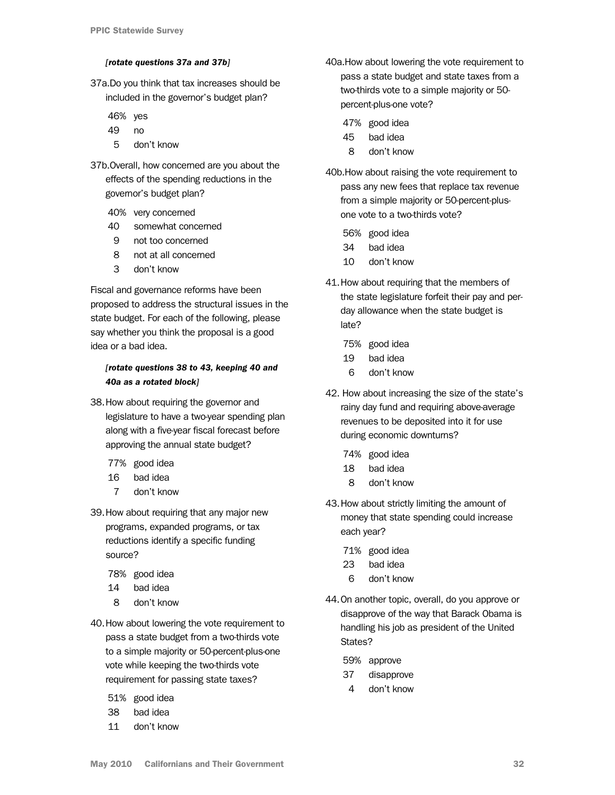#### *[rotate questions 37a and 37b]*

<span id="page-31-0"></span>37a.Do you think that tax increases should be included in the governor's budget plan?

46% yes

- 49 no
- 5 don't know
- 37b.Overall, how concerned are you about the effects of the spending reductions in the governor's budget plan?
	- 40% very concerned
	- 40 somewhat concerned
	- 9 not too concerned
	- 8 not at all concerned
	- 3 don't know

Fiscal and governance reforms have been proposed to address the structural issues in the state budget. For each of the following, please say whether you think the proposal is a good idea or a bad idea.

### *[rotate questions 38 to 43, keeping 40 and 40a as a rotated block]*

- 38.How about requiring the governor and legislature to have a two-year spending plan along with a five-year fiscal forecast before approving the annual state budget?
	- 77% good idea
	- 16 bad idea
	- 7 don't know
- 39.How about requiring that any major new programs, expanded programs, or tax reductions identify a specific funding source?
	- 78% good idea
	- 14 bad idea
	- 8 don't know
- 40.How about lowering the vote requirement to pass a state budget from a two-thirds vote to a simple majority or 50-percent-plus-one vote while keeping the two-thirds vote requirement for passing state taxes?
	- 51% good idea
	- 38 bad idea
	- 11 don't know
- 40a.How about lowering the vote requirement to pass a state budget and state taxes from a two-thirds vote to a simple majority or 50 percent-plus-one vote?
	- 47% good idea
	- 45 bad idea
	- 8 don't know
- 40b.How about raising the vote requirement to pass any new fees that replace tax revenue from a simple majority or 50-percent-plusone vote to a two-thirds vote?
	- 56% good idea
	- 34 bad idea
	- 10 don't know
- 41.How about requiring that the members of the state legislature forfeit their pay and perday allowance when the state budget is late?
	- 75% good idea
	- 19 bad idea
	- 6 don't know
- 42. How about increasing the size of the state's rainy day fund and requiring above-average revenues to be deposited into it for use during economic downturns?
	- 74% good idea
	- 18 bad idea
	- 8 don't know
- 43.How about strictly limiting the amount of money that state spending could increase each year?
	- 71% good idea
	- 23 bad idea
	- 6 don't know
- 44.On another topic, overall, do you approve or disapprove of the way that Barack Obama is handling his job as president of the United States?
	- 59% approve
	- 37 disapprove
	- 4 don't know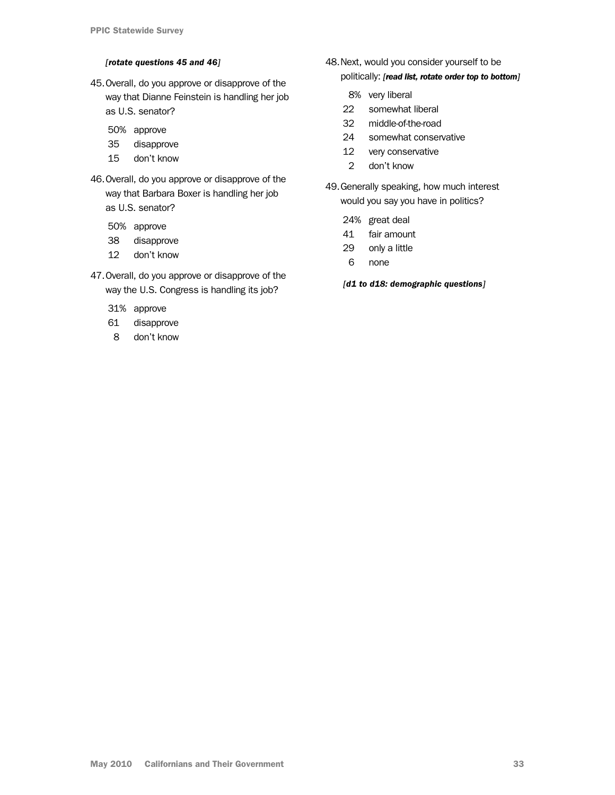#### *[rotate questions 45 and 46]*

- 45.Overall, do you approve or disapprove of the way that Dianne Feinstein is handling her job as U.S. senator?
	- 50% approve
	- 35 disapprove
	- 15 don't know
- 46. Overall, do you approve or disapprove of the way that Barbara Boxer is handling her job as U.S. senator?
	- 50% approve
	- 38 disapprove
	- 12 don't know
- 47.Overall, do you approve or disapprove of the way the U.S. Congress is handling its job?
	- 31% approve
	- 61 disapprove
	- 8 don't know
- 48. Next, would you consider yourself to be politically: *[read list, rotate order top to bottom]*
	- 8% very liberal
	- 22 somewhat liberal
	- 32 middle-of-the-road
	- 24 somewhat conservative
	- 12 very conservative
	- 2 don't know
- 49. Generally speaking, how much interest would you say you have in politics?
	- 24% great deal
	- 41 fair amount
	- 29 only a little
	- 6 none

*[d1 to d18: demographic questions]*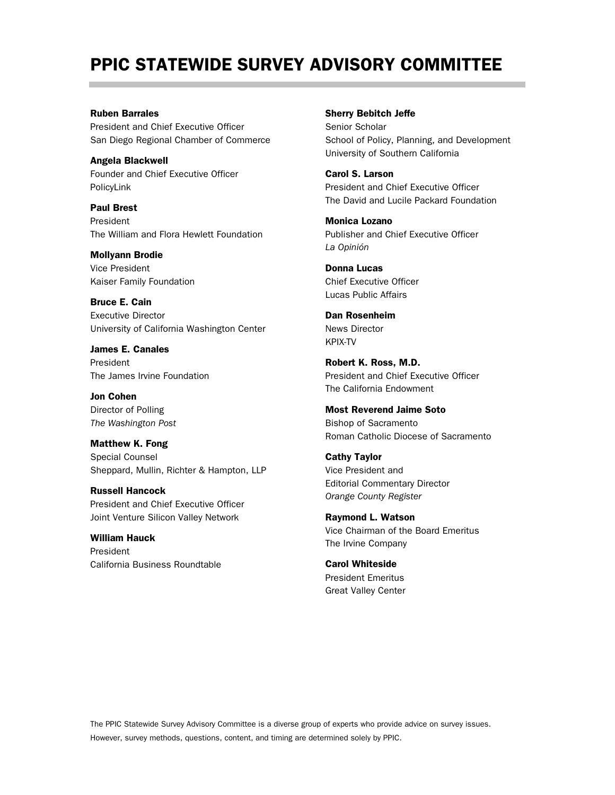# PPIC STATEWIDE SURVEY ADVISORY COMMITTEE

#### Ruben Barrales

President and Chief Executive Officer San Diego Regional Chamber of Commerce

Angela Blackwell Founder and Chief Executive Officer PolicyLink

Paul Brest President The William and Flora Hewlett Foundation

Mollyann Brodie Vice President

Kaiser Family Foundation

Bruce E. Cain Executive Director University of California Washington Center

James E. Canales President The James Irvine Foundation

Jon Cohen Director of Polling *The Washington Post*

Matthew K. Fong Special Counsel Sheppard, Mullin, Richter & Hampton, LLP

Russell Hancock President and Chief Executive Officer Joint Venture Silicon Valley Network

William Hauck President California Business Roundtable Sherry Bebitch Jeffe

Senior Scholar School of Policy, Planning, and Development University of Southern California

Carol S. Larson President and Chief Executive Officer The David and Lucile Packard Foundation

Monica Lozano Publisher and Chief Executive Officer *La Opinión*

Donna Lucas Chief Executive Officer Lucas Public Affairs

Dan Rosenheim News Director KPIX-TV

Robert K. Ross, M.D. President and Chief Executive Officer The California Endowment

Most Reverend Jaime Soto Bishop of Sacramento Roman Catholic Diocese of Sacramento

Cathy Taylor Vice President and Editorial Commentary Director *Orange County Register*

Raymond L. Watson Vice Chairman of the Board Emeritus The Irvine Company

Carol Whiteside President Emeritus Great Valley Center

The PPIC Statewide Survey Advisory Committee is a diverse group of experts who provide advice on survey issues. However, survey methods, questions, content, and timing are determined solely by PPIC.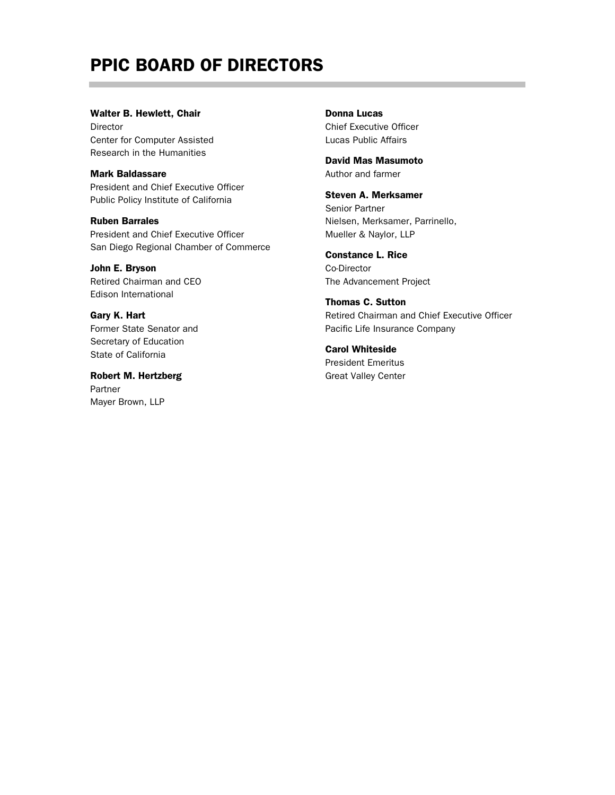# PPIC BOARD OF DIRECTORS

#### Walter B. Hewlett, Chair

Director Center for Computer Assisted Research in the Humanities

#### Mark Baldassare

President and Chief Executive Officer Public Policy Institute of California

Ruben Barrales President and Chief Executive Officer San Diego Regional Chamber of Commerce

John E. Bryson Retired Chairman and CEO Edison International

Gary K. Hart Former State Senator and Secretary of Education State of California

Robert M. Hertzberg Partner Mayer Brown, LLP

Donna Lucas Chief Executive Officer Lucas Public Affairs

David Mas Masumoto Author and farmer

Steven A. Merksamer Senior Partner Nielsen, Merksamer, Parrinello, Mueller & Naylor, LLP

Constance L. Rice Co-Director The Advancement Project

Thomas C. Sutton Retired Chairman and Chief Executive Officer Pacific Life Insurance Company

Carol Whiteside President Emeritus Great Valley Center